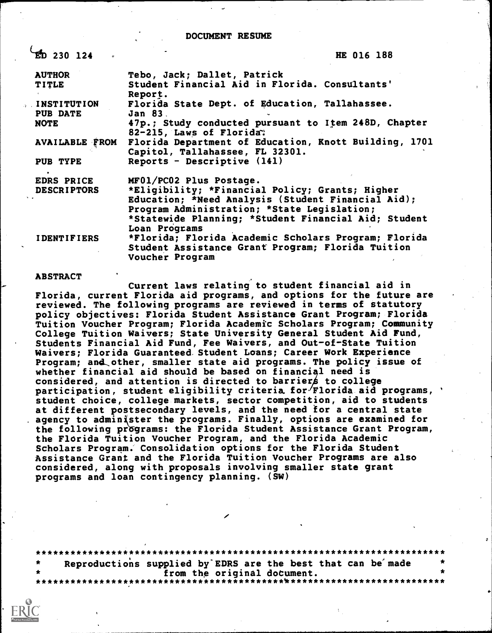DOCUMENT RESUME

| $ED$ 230 124                                     | HE 016 188                                                                            |                                                                                                                                                                                                                                                                                                                                                                                                                                                                                                                                                                                                                                                                                                          |
|--------------------------------------------------|---------------------------------------------------------------------------------------|----------------------------------------------------------------------------------------------------------------------------------------------------------------------------------------------------------------------------------------------------------------------------------------------------------------------------------------------------------------------------------------------------------------------------------------------------------------------------------------------------------------------------------------------------------------------------------------------------------------------------------------------------------------------------------------------------------|
|                                                  |                                                                                       |                                                                                                                                                                                                                                                                                                                                                                                                                                                                                                                                                                                                                                                                                                          |
|                                                  |                                                                                       |                                                                                                                                                                                                                                                                                                                                                                                                                                                                                                                                                                                                                                                                                                          |
| <b>INSTITUTION</b><br><b>PUB DATE</b><br>Jan 83. |                                                                                       |                                                                                                                                                                                                                                                                                                                                                                                                                                                                                                                                                                                                                                                                                                          |
|                                                  |                                                                                       |                                                                                                                                                                                                                                                                                                                                                                                                                                                                                                                                                                                                                                                                                                          |
| <b>AVAILABLE FROM</b>                            |                                                                                       |                                                                                                                                                                                                                                                                                                                                                                                                                                                                                                                                                                                                                                                                                                          |
| PUB TYPE                                         |                                                                                       |                                                                                                                                                                                                                                                                                                                                                                                                                                                                                                                                                                                                                                                                                                          |
| <b>EDRS PRICE</b>                                |                                                                                       |                                                                                                                                                                                                                                                                                                                                                                                                                                                                                                                                                                                                                                                                                                          |
| <b>DESCRIPTORS</b>                               |                                                                                       |                                                                                                                                                                                                                                                                                                                                                                                                                                                                                                                                                                                                                                                                                                          |
|                                                  |                                                                                       |                                                                                                                                                                                                                                                                                                                                                                                                                                                                                                                                                                                                                                                                                                          |
|                                                  |                                                                                       |                                                                                                                                                                                                                                                                                                                                                                                                                                                                                                                                                                                                                                                                                                          |
|                                                  |                                                                                       |                                                                                                                                                                                                                                                                                                                                                                                                                                                                                                                                                                                                                                                                                                          |
|                                                  |                                                                                       |                                                                                                                                                                                                                                                                                                                                                                                                                                                                                                                                                                                                                                                                                                          |
|                                                  | $\boldsymbol{a}$<br>Report.<br>Loan Programs<br><b>IDENTIFIERS</b><br>Voucher Program | Tebo, Jack; Dallet, Patrick<br>Student Financial Aid in Florida. Consultants'<br>Florida State Dept. of Education, Tallahassee.<br>47p.; Study conducted pursuant to Item 248D, Chapter<br>82-215, Laws of Florida.<br>Florida Department of Education, Knott Building, 1701<br>Capitol, Tallahassee, FL 32301.<br>Reports - Descriptive $(141)$<br>MF01/PC02 Plus Postage.<br>*Eligibility; *Financial Policy; Grants; Higher<br>Education; *Need Analysis (Student Financial Aid);<br>Program Administration; *State Legislation;<br>*Statewide Planning; *Student Financial Aid; Student<br>*Florida; Florida Academic Scholars Program; Florida<br>Student Assistance Grant Program; Florida Tuition |

#### ABSTRACT

Current laws relating to student financial aid in Florida, current Florida aid programs, and options for the future are reviewed. The following programs are reviewed in terms of statutory policy objectives: Florida Student Assistance Grant Program; Florida Tuition Voucher Program; Florida Academic Scholars Program; Community College Tuition Waivers; State University General Student Aid Fund, Students Financial Aid Fund, Fee Waivers, and Out-of-State Tuition Waivers; Florida Guaranteed.Student Loans; Career Work Experience Program; and,other, smaller state aid programs. The policy issue of whether financial aid should be based on financial need is participation, student eligibility criteria for Florida aid programs, ' considered, and attention is directed to barriers to college student choice, college markets, sector competition, aid to students at different postsecondary levels, and the need for a central state agency to administer the programs. Finally, options are examined for the following programs: the Florida Student Assistance Grant Program, the Florida Tuition Voucher Program, and the Florida Academic Scholars Program. Consolidation options for the Florida Student Assistance Grant and the Florida Tuition Voucher Programs are also considered, along with proposals involving smaller state grant programs and loan contingency planning. (SW)

\*\*\*\*\*\*\*\*\*\*\*\*\*\*\*\*\*\* Reproductions supplied by EDRS are the best that can be made from the original doCument. \*\*\*\*\*\*\*\*\*\*\*\*\*\*\*\*\*\*\*\*\*\*\*\*\*\*\*\*\*\*\*\*\*\*\*\*\*\*\*\*\*\*\*\*\*\*\*\*\*\*\*\*\*\*\*\*\*\*\*\*\*\*\*\*\*\*\*\*\*\*\*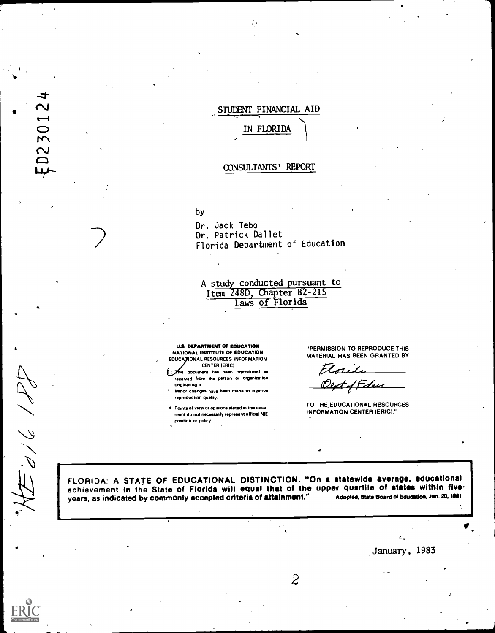## STUDENT FINANCIAL AID

# IN FLORIDA

## CONSULTANTS' REPORT

## by

Dr. Jack Tebo Dr. Patrick Dallet Florida Department of Education

A study conducted pursuant to Item 248D, Chapter 82-215 Laws of Florida

U.S. DEPARTMENT OF EDUCATION NATIONAL INSTITUTE OF EDUCATION EDUCA JIONAL RESOURCES INFORMATION CENTER (ERIC)

- docurrient has been reproduced as received from the person or organization onginating it.
- Minor changes have been made to Improve reproduction quality.
- Points of view or opinions stated in this docu ment do not necessarily represent official NIE position or policy.

"PERMISSION TO REPRODUCE THIS MATERIAL HAS BEEN GRANTED BY

tori e ext of Edu

TO THE EDUCATIONAL RESOURCES INFORMATION CENTER (ERIC)."

4

 $\tilde{d}/\tilde{d}/\tilde{d}$ 

D23012

FLORIDA: A STATE OF EDUCATIONAL DISTINCTION. "On a statewide average, educational achievement in the State of Florida will equal that of the upper quartile of states within five.<br>vears, as indicated by commonly accepted criteria of attainment." Adopted, State Board of Education, Jan. 20, 1981 years, as indicated by commonly accepted criteria of attainment."

 $\ddot{\mathcal{Z}}$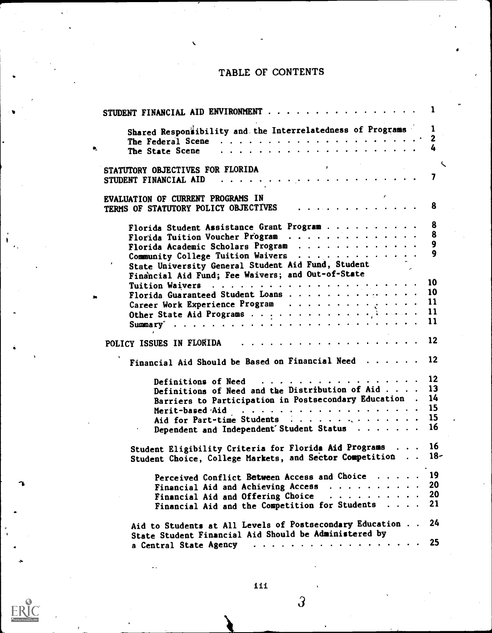## TABLE OF CONTENTS

| STUDENT FINANCIAL AID ENVIRONMENT                                                   | $\blacksquare$ |
|-------------------------------------------------------------------------------------|----------------|
| Shared Responsibility and the Interrelatedness of Programs                          | 1              |
|                                                                                     |                |
| The State Scene                                                                     |                |
|                                                                                     |                |
| STATUTORY OBJECTIVES FOR FLORIDA AND AND ANGELERATION OF A STATUTORY OF STATISTICS. | ╰              |
|                                                                                     |                |
|                                                                                     |                |
| EVALUATION OF CURRENT PROGRAMS IN                                                   |                |
| TERMS OF STATUTORY POLICY OBJECTIVES  8                                             |                |
|                                                                                     |                |
| Florida Student Assistance Grant Program                                            | 8              |
| Florida Tuition Voucher Program                                                     | 8              |
| Florida Academic Scholars Program                                                   | 9              |
| Community College Tuition Waivers                                                   | 9              |
|                                                                                     |                |
| State University General Student Aid Fund, Student                                  |                |
| Financial Aid Fund; Fee Waivers; and Out-of-State                                   |                |
|                                                                                     |                |
| Florida Guaranteed Student Loans                                                    | 10             |
| Career Work Experience Program                                                      | -11            |
|                                                                                     | 11             |
|                                                                                     | 11             |
|                                                                                     |                |
| POLICY ISSUES IN FLORIDA 12                                                         |                |
| Financial Aid Should be Based on Financial Need                                     | 12             |
|                                                                                     | 12             |
| Definitions of Need and the Distribution of Aid 13                                  |                |
|                                                                                     | 14             |
| Barriers to Participation in Postsecondary Education.                               | 15             |
|                                                                                     |                |
| Aid for Part-time Students                                                          | 15             |
| Dependent and Independent Student Status                                            | 16             |
|                                                                                     |                |
| Student Eligibility Criteria for Florida Aid Programs 16                            |                |
| Student Choice, College Markets, and Sector Competition 18-                         |                |
| Perceived Conflict Between Access and Choice                                        | 19             |
|                                                                                     | 20             |
| Financial Aid and Achieving Access                                                  | 20             |
| Financial Aid and Offering Choice                                                   |                |
| Financial Aid and the Competition for Students                                      | 21             |
| Aid to Students at All Levels of Postsecondary Education                            | 24             |
| State Student Financial Aid Should be Administered by                               |                |
|                                                                                     | 25             |
| a Central State Agency                                                              |                |



 $\mathbf{L}$ 

**I** 

 $\overline{3}$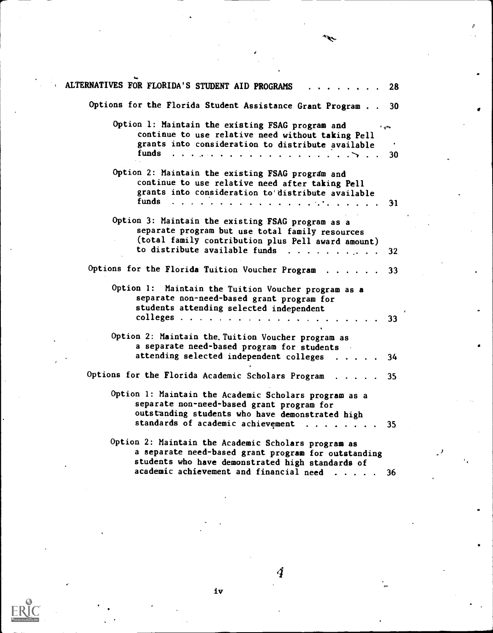| ALTERNATIVES FOR FLORIDA'S STUDENT AID PROGRAMS                                                                                                                | 28              |  |
|----------------------------------------------------------------------------------------------------------------------------------------------------------------|-----------------|--|
| Options for the Florida Student Assistance Grant Program 30                                                                                                    |                 |  |
| Option 1: Maintain the existing FSAG program and<br>continue to use relative need without taking Pell.                                                         |                 |  |
| grants into consideration to distribute available                                                                                                              | 30              |  |
| Option 2: Maintain the existing FSAG program and<br>continue to use relative need after taking Pell<br>grants into consideration to distribute available       |                 |  |
|                                                                                                                                                                | 31              |  |
| Option 3: Maintain the existing FSAG program as a<br>separate program but use total family resources<br>(total family contribution plus Pell award amount)     |                 |  |
| to distribute available funds                                                                                                                                  | 32              |  |
| Options for the Florida Tuition Voucher Program<br>$\cdot$ $\cdot$ 33                                                                                          |                 |  |
| Option 1: Maintain the Tuition Voucher program as a<br>separate non-need-based grant program for<br>students attending selected independent                    |                 |  |
|                                                                                                                                                                | 33              |  |
| Option 2: Maintain the Tuition Voucher program as<br>a separate need-based program for students                                                                |                 |  |
| attending selected independent colleges                                                                                                                        | 34              |  |
| Options for the Florida Academic Scholars Program<br>$\cdot$ $\cdot$ 35                                                                                        |                 |  |
| Option 1: Maintain the Academic Scholars program as a<br>separate non-need-based grant program for<br>outstanding students who have demonstrated high          |                 |  |
| standards of academic achievement                                                                                                                              | 35 <sub>1</sub> |  |
| Option 2: Maintain the Academic Scholars program as<br>a separate need-based grant program for outstanding<br>students who have demonstrated high standards of |                 |  |
| academic achievement and financial need                                                                                                                        | -36             |  |

سعجع

 $\sum_{\lambda_{\text{Full Text} \text{ Provided by EHC}}}$ 

 $\mathbf{iv}$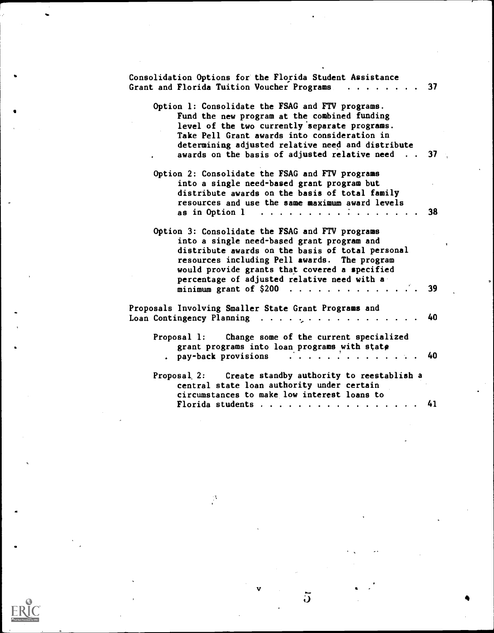| Consolidation Options for the Florida Student Assistance<br>Grant and Florida Tuition Voucher Programs<br>. 37                                                                                                                                                                                             |    |
|------------------------------------------------------------------------------------------------------------------------------------------------------------------------------------------------------------------------------------------------------------------------------------------------------------|----|
| Option 1: Consolidate the FSAG and FTV programs.<br>Fund the new program at the combined funding<br>level of the two currently separate programs.<br>Take Pell Grant awards into consideration in<br>determining adjusted relative need and distribute<br>awards on the basis of adjusted relative need 37 |    |
| Option 2: Consolidate the FSAG and FTV programs<br>into a single need-based grant program but<br>distribute awards on the basis of total family                                                                                                                                                            |    |
| resources and use the same maximum award levels<br>as in Option $l \cdot \cdot$                                                                                                                                                                                                                            | 38 |
| Option 3: Consolidate the FSAG and FTV programs<br>into a single need-based grant program and<br>distribute awards on the basis of total personal<br>resources including Pell awards. The program<br>would provide grants that covered a specified<br>percentage of adjusted relative need with a          |    |
| minimum grant of $$200$                                                                                                                                                                                                                                                                                    | 39 |
| Proposals Involving Smaller State Grant Programs and                                                                                                                                                                                                                                                       | 40 |
| Proposal 1: Change some of the current specialized<br>grant programs into loan programs with state<br>. pay-back provisions<br>$\frac{1}{2}$ , $\frac{1}{2}$ , $\frac{1}{2}$ , $\frac{1}{2}$ , $\frac{1}{2}$ , $\frac{1}{2}$ , $\frac{1}{2}$ , $\frac{1}{2}$                                               | 40 |
| Proposal 2: Create standby authority to reestablish a<br>central state loan authority under certain<br>circumstances to make low interest loans to                                                                                                                                                         |    |
| Florida students 41                                                                                                                                                                                                                                                                                        |    |

 $\frac{v}{\sqrt{2}}$  and  $\frac{v}{\sqrt{2}}$ 

 $\beta$ 

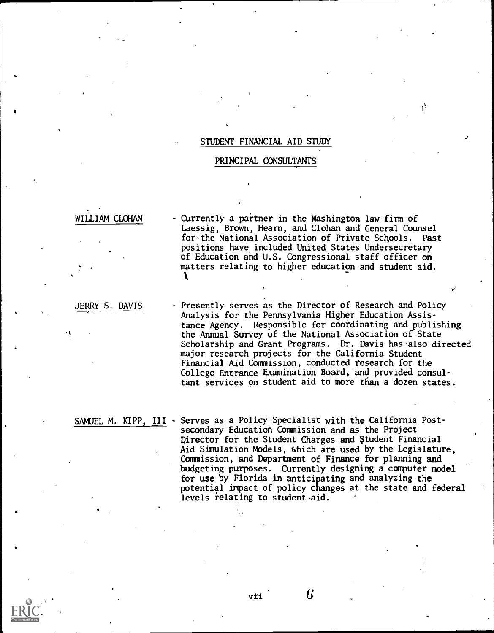#### STUDENT FINANCIAL AID STUDY

#### PRINCIPAL CONSULTANTS

#### WILLIAM CLOHAN

Currently a partner in the Washington law firm of Laessig, Brown, Hearn, and Clohan and General Counsel for'the National Association of Private Schools. Past positions have included United States Undersecretary of Education and U.S. Congressional staff officer on matters relating to higher education and student aid.

JERRY S. DAVIS

4.

Presently serves as the Director of Research and Policy Analysis for the Pennsylvania Higher Education Assistance Agency. Responsible for coordinating and publishing the Annual Survey of the National Association of State Scholarship and Grant Programs. Dr. Davis has'also directed major research projects for the California Student Financial Aid Commission, conducted research for the College Entrance Examination Board,'and provided consultant services on student aid to more than a dozen states.

SAMUEL M. KIPP, III - Serves as a Policy Specialist with the California Postsecondary Education Commission and as the Project Director for the Student Charges and \$tudent Financial Aid Simulation Models, which are used by the Legislature, Commission, and Department of Finance for planning and budgeting purposes. Currently designing a computer model for use by Florida in anticipating and analyzing the potential impact of policy changes at the state and federal levels relating to student aid.

Б

vti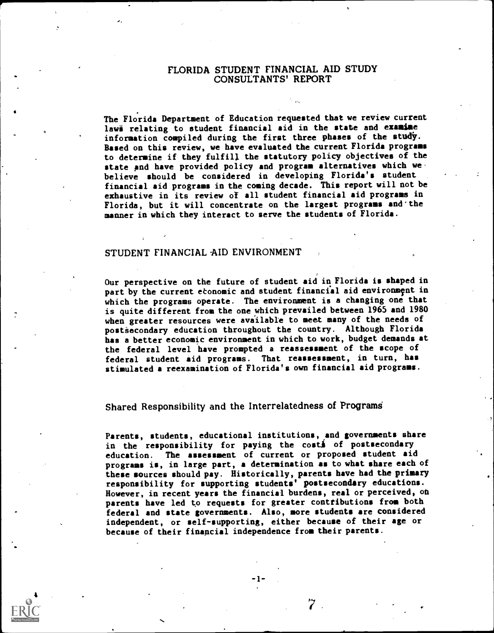## FLORIDA STUDENT FINANCIAL AID STUDY CONSULTANTS' REPORT

The Florida Department of Education requested that we review current lawi relating to student financial aid in the state and examine information compiled during the first three phases of the study. Based on this review, we have evaluated the current Florida programs to determine if they fulfill the statutory policy objectives of the state and have provided policy and program alternatives which we. believe should be considered in developing Florida's student financial aid programs in the coming decade. This report will not be exhaustive in its review of all student financial aid programs in Florida, but it will concentrate on the largest programs and'the manner in which they interact to serve the students of Florida.

#### STUDENT FINANCIAL AID ENVIRONMENT

Our perspective on the future of student aid in Florida is shaped in part by the current etonomic and student financial aid environment in which the programs operate. The environment is a changing one that is quite different from the one which prevailed between 1965 and 1980 when greater resources were available to meet many of the needs of postiacondary education throughout the country. Although Florida has a better economic environment in which to work, budget demands at the federal level have prompted a reassessment of the scope of federal student aid programs. That reassessment, in turn, has stimulated a reexamination of Florida's own financial aid programs.

## Shared Responsibility and the Interrelatedness of Programs

Parents, students, educational institutions, and governments share in the responsibility for paying the costs of postsecondary education. The assessment of current or proposed student aid programs is, in large part, a determination as to what share each of these sources should pay. Historically, parents have had the primary responsibility for supporting students' postsecondary educations. However, in recent years the financial burdens, real or perceived, on parents have led to requests for greater contributions from both federal and state governments. Also, more students are considered independent, or self-supporting, either because of their age or because of their financial independence from their parents.

4

 $7$  .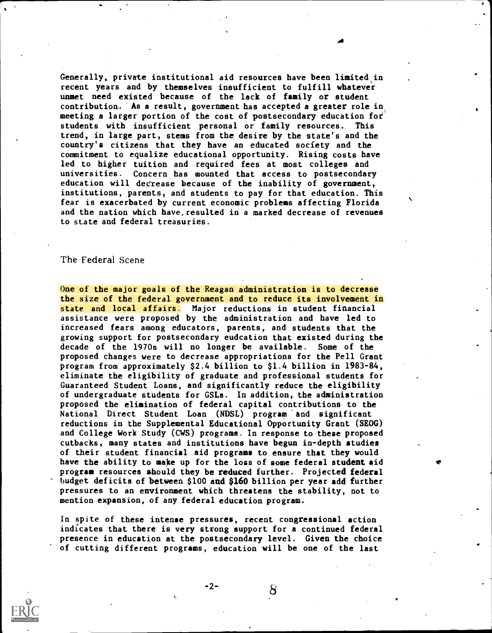Generally, private institutional aid resources have been limited in recent years and by themselves insufficient to fulfill whatever unmet need existed because of the lack of family or student contribution. 'As a result, government has accepted a greater role in, meeting a larger portion of the cost of postsecondary education for students with insufficient personal or family resources. This trend, in large part, stems from the desire by the state's and the country's citizens that they have an educated society and the commitment to equalize educational opportunity. Rising costs have led to higher tuition and required fees at most colleges and universities. Concern has mounted that access to postsecondary education will decrease because of the inability of government, institutions, parents, and students to pay for that education. This fear is exacerbated by current economic problems affecting Florida and the nation which have.resulted in a marked decrease of revenues to state and federal treasuries.

#### The Federal Scene

One of the major goals of the Reagan administration is to decrease the size of the federal government and to reduce its involvement in state and local affairs. Major reductions in student financial assistance were proposed by the administration and have led to increased fears among educators, parents, and students that the growing support for postsecondary eudcation that existed during the decade of the 1970s will no longer be available. Some of the proposed changes were to decrease appropriations for the Pell Grant program from approximately \$2.4 billion to \$1.4 billion in 1983-84, eliminate the eligibility of graduate and professianal students for Guaranteed Student Loans, and significantly reduce the eligibility of undergraduate students for GSLs. In addition, the administration proposed the elimination of federal capital contributions to the National Direct Student Loan (NDSL) program and significant reductions in the Supplemental Educational Opportunity Grant (SEOG) and College Work Study (CWS) programs. In response to these proposed cutbacks, many states and institutions have begun in-depth studies of their student financial aid programs to ensure that they would have the ability to make up for the loss of some federal student aid program resources should they be reduced further. Projected federal budget deficits of between \$100 and \$160 billion per year add further pressures to an environment which threatens the stability, not to mention expansion, of any federal education program.

In spite of these intense pressures, recent congressional action indicates that there is very strong support for a continued federal presence in education at the postsecondary level. Given the choice of cutting different programs, education will be one of the last

-2-

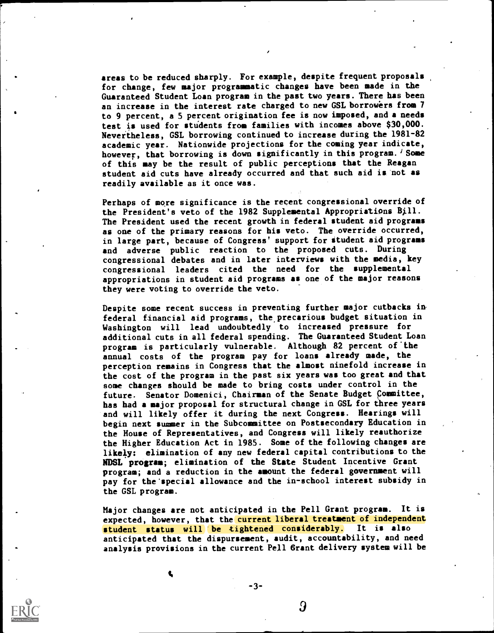areas to be reduced sharply. For example, despite frequent proposals for change, few major programmatic changes have been made in the Guaranteed Student Loan program in the past two years. There has been an increase in the interest rate charged to new GSL borrowers from 7 to 9 percent, a 5 percent origination fee is now imposed, and a needs test is used for students from families with incomes above \$30,000. Nevertheless, GSL borrowing continued to increase during the 1981-82 academic year. Nationwide projections for the coming year indicate, however, that borrowing is down significantly in this program.  $\frac{1}{4}$  Some of this may be the result of public perceptions that the Reagan student aid cuts have already occurred and that such aid is 'not as readily available as it once was.

Perhaps of more significance is the recent congressional override of the President's veto of the 1982 Supplemental Appropriations Bill. The President used the recent growth in federal student aid programs as one of the primary reasons for his veto. The override occurred, in large part, because of Congress' support for student aid programs and adverse public reaction to the proposed cuts. During congressional debates and in later interviews with the media, key congressional leaders cited the need for the supplemental appropriations in student aid programs as one of the major reasons they were voting to override the veto.

Despite some recent success in preventing further major cutbacks infederal financial aid programs, the precarious budget situation in Washington will lead undoubtedly to increased pressure for additional cuts in all federal spending. The Guaranteed Student Loan program is particularly vulnerable. Although 82 percent of the annual costs of the program pay for loans already made, the perception remains in Congress that the almost ninefold increase in the cost of the program in the past six years was too great and that some changes should be made to bring costs under control in the future. Senator Domenici, Chairman of the Senate Budget Committee, has had a major proposal for structural change in GSL for three years and will likely offer it during the next Congress. Hearings will begin next summer in the Subcommittee on Postsecondary Education in the House of Representatives, and Congress will likely reauthorize the Higher Education Act in 1985. Some of the following changes are likely: elimination of any new federal capital contributions to the NDSL program; elimination of the State Student Incentive Grant program; and a reduction in the amount the federal government will pay for the'special allowance and the in-school interest subsidy in the GSL program.

Major changes are not anticipated in the Pell Grant program. It is expected, however, that the current liberal treatment of independent student status will be tightened considerably. It is also anticipated that the dispursement, audit, accountability, and need analysis provisions in the current Pell Grant delivery system will be

-3-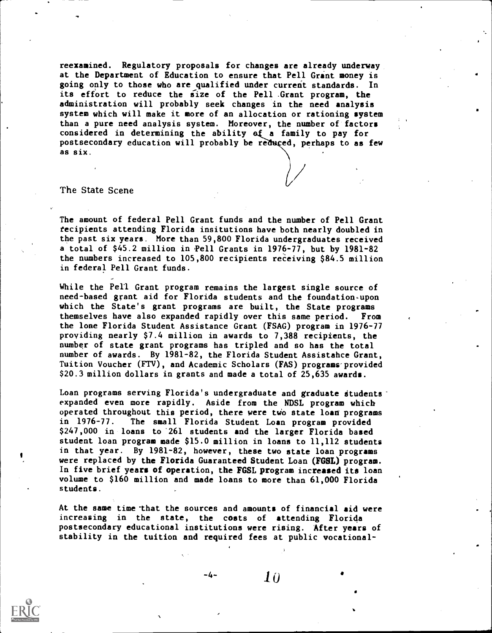reexamined. Regulatory proposals for changes are already underway at the Department of Education to ensure that Pell Grant money is going only to those who are qualified under current standards. In its effort to reduce the size of the Pell Grant program, the administration will probably seek changes in the need analysis system which will make it more of an allocation or rationing system than a pure need analysis system. Moreover, the number of factors considered in determining the ability of a family to pay for postsecondary education will probably be reduced, perhaps to as few as six.

The State Scene

The amount of federal Pell Grant funds and the number of Pell Grant tecipients attending Florida insitutions have both nearly doubled in the past six years. More than 59,800 Florida undergraduates received a total of \$45.2 million in Pell Grants in 1976-77, but by 1981-82 the numbers increased to 105,800 recipients receiving \$84.5 million in federal Pell Grant funds.

While the Pell Grant program remains the largest single source of need-based grant aid for Florida students and the foundation.upon which the State's grant programs are built, the State programs themselves have also expanded rapidly over this same period. From the lone Florida Student Assistance Grant (FSAG) program in 1976-77 providing nearly \$7.4 million in awards to 7,388 recipients, the number of state grant programs has tripled and so has the total number of awards. By 1981-82, the Florida Student Assistahce Grant, Tuition Voucher (FTV), and Academic Scholars (FAS) programs provided \$20.3 million dollars in grants and made a total of 25,635 awards.

Loan programs serving Florida's undergraduate and graduate students expanded even more rapidly. Aside from the NDSL program which operated throughout this period, there were two state loan programs in 1976-77. The small Florida Student Loan program provided \$247,000 in loans to'261 students and the larger Florida based student loan program made \$15.0 million in loans to 11,112 students in that year. By 1981-82, however, these two state loan programs were replaced by the Florida Guaranteed Student Loan (FGSL) program. In five brief years of operation, the FGSL program increased its loan volume to \$160 million and made loans to more than 61,000 Florida students.

At the same time that the sources and amounts of financial aid were increasing in the state, the costs of attending Florida postsecondary educational institutions were rising. After years of stability in the tuition and required fees at public vocational-

-4-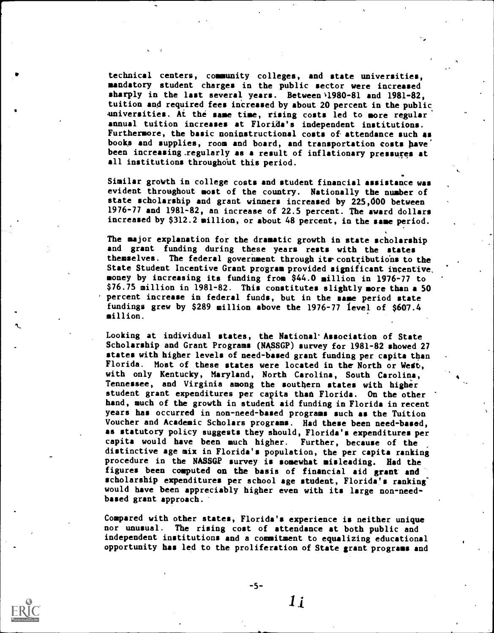technical centers, community colleges, and state universities, mandatory student charges in the public sector were increased sharply in the last several years. Between  $1980-81$  and  $1981-82$ , tuition and required fees increased by about 20 percent in the public universities. At the same time, rising costs led to more regular annual tuition increases at Florida's independent institutions. Furthermore, the basic noninstructional costs of attendance such as books and supplies, room and board, and transportation costs have been increasing regularly as a result of inflationary pressures at all institutions throughout this period.

Similar growth in college costs and student financial assistance was evident throughout most of the country. Nationally the number of state scholarship and grant winners increased by 225,000 between 1976-77 and 1981-82, an increase of 22.5 percent. The award dollars increased by \$312.2 million, or about 48 percent, in the same period.

The major explanation for the dramatic growth in state scholarship and grant funding during these years rests with the states themselves. The federal government through its contributions to the State Student Incentive Grant program provided significant incentive, money by increasing its funding from \$44.0 million in 1976-77 to \$76.75 million in 1981-82. This constitutes slightly more than a 50 percent increase in federal funds, but in the same period state fundings grew by \$289 million above the 1976-77 level of \$607.4 million.

Looking at individual states, the National'Association of State Scholarship and Grant Programs (NASSGP) survey for 1981-82 showed 27 states with higher levels of need-hased grant funding per capita than Florida. Most of these states were located in the North or Wedb, with only Kentucky, Maryland, North Carolina, South Carolina, Tennessee, and Virginia among the southern states with higher student grant expenditures per capita than Florida. On the other hand, much of the growth in student aid funding in Florida in recent years has occurred in non-need-based programs such as the Tuition Voucher and Academic Scholars programs. Had these been need-based, as statutory policy suggests they should, Florida's expenditures per capita would have been much higher. Further, because of the distinctive age mix in Florida's population, the per capita ranking procedure in the NASSGP survey is somewhat misleading. Had the figures been computed on the basis of financial aid grant and scholarship expenditures per school age student, Florida's ranking' would have been appreciably higher even with its large non-needbased grant approach.

Compared with other states, Florida's experience is neither unique nor unusual. The rising cost of attendance at both public and independent institutions and a commitment to equalizing educational opportunity has led to the proliferation of State grant programs and



-5-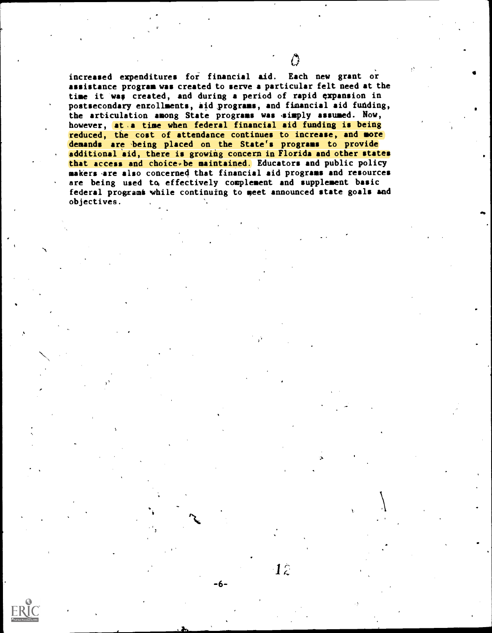increased expenditures for financial aid. Each new grant or assistance program was created to serve a particular felt need at the time it was created, and during a period of rapid expansion in postsecondary enrollments, aid ,programs, and financial aid funding, the articulation among State programs was isimply assumed. Now, however, at .a time when federal financial aid funding is being reduced, the cost of attendance continues to increase, and more demands are being placed on the State's programs to provide additional aid, there is growing concern in Florida and other states that access and choice be maintained. Educators and public policy makers .are also concerned that financial aid programs and resources are being used to effectively complement and supplement basic federal progxami 'while continuing to meet announced state goals and objectives.

 $1\hat{z}$ 

 $-6-$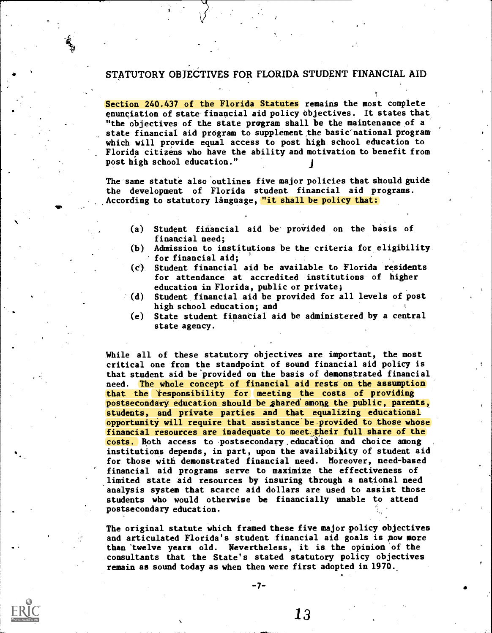## STATUTORY OBJECTIVES FOR FLORIDA STUDENT FINANCIAL AID

Section 240.437 of the Florida Statutes remains the most complete enunciation of state financial aid policy objectives. It states that, "the objectives of the state program shall be the maintenance of a state financial aid program to supplement the basic national program which will provide equal access to post high school education to Florida citizens who have the ability and motivation to benefit from post high school education."

The same statute also outlines five major policies that should guide the development of Florida student financial aid programs. According to statutory långuage, "it shall be policy that:

- (a) Student financial aid be provided on the basis of finangial need;
- (0) Admission to institutions be the criteria for eligibility for financial aid;
- (c) Student financial aid be available to Florida residents for attendance at accredited institutions of higher education in Florida, public or private)
- (d) Student financial aid be provided for all levels of post high school education; and
- (e) State student financial aid be administered by a central state agency.

While all of these statutory objectives are important, the most critical one from the standpoint of sound financial aid policy is that student aid be provided on the basis of demonstrated financial need. The whole concept of financial aid restg on the assumption that the responsibility for meeting the costs of providing postsecondary education should be shared among the public, parents, students, and private parties and that equalizing educational opportunity will require that assistance be provided to those whose financial resources are inadequate to meet,their full share of the costs. Both access to postsecondary education and choice among institutions depends, in part, upon the availability of student aid for those with demonstrated financial need. Moreover, need-based financial aid programs serve to maximize the effectiveness of limited state aid resources by insuring through a national need analysis system that scarce aid dollars are used to assist those students who would otherwise be financially unable to attend postsecondary education.

The original statute which framed these five major policy objectives and articulated Florida's student financial aid goals is pow more than 'twelve years old. Nevertheless, it is the opinion 'of the consultants that the State's stated statutory policy objectives remain as sound today as when then were first adopted in 1970.

13

 $-7-$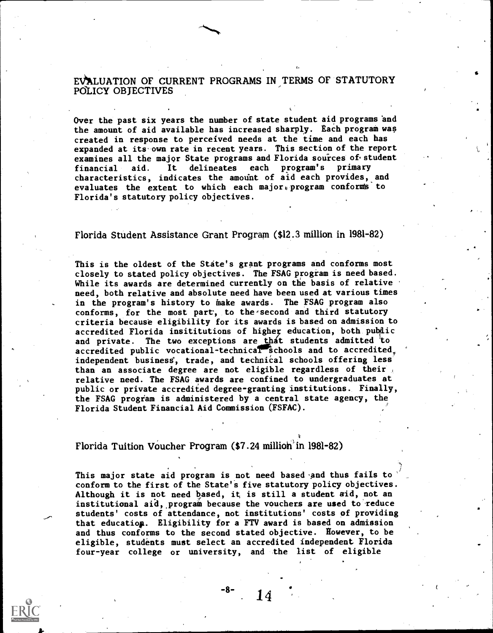EVALUATION OF CURRENT PROGRAMS IN TERMS OF STATUTORY POLICY OBJECTIVES

Over the past six years the number of state student aid programs and the amount of aid available has increased sharply. Each program was created in response to perceived needs at the time and each has expanded at its own rate in recent years. This section of the report examines all the major State programs and Florida sources of student<br>financial aid. It delineates each program's primary financial aid. It delineates each program's primary characteristics, indicates the amount of aid each provides, and evaluates the extent to which each major program conforms to Florida's statutory policy objectives.

Florida Student Assistance Grant Program (\$12.3 million in 1981-82)

This is the oldest of the State's grant programs and conforms most closely to stated policy objectives. The FSAG program is need based. While its awards are determined currently on the basis of relative need, both relative and absolute need have been used at various times in the program's history to inake awards. The FSAG program also conforms, for the most part, to the second and third statutory criteria because eligibility for its awards is based on admission to accredited Florida insititutions of higher education, both public and private. The two exceptions are that students admitted to accredited public vocational-technical schools and to accredited. independent business, trade, and technical schools offering less than an associate degree are not eligible regardless of their relative need. The FSAG awards are confined to undergraduates at public or private accredited degree-granting institutions. Finally, the FSAG program is administered by a central state agency, the Florida Student Financial Aid Commission (FSFAC).

Florida Tuition Voucher Program (\$7.24 million in 1981-82)

This major state aid program is not need based and thus fails to conform to the first of the State's five statutory policy objectives. Although it is not need based, it is still a student aid, not an institutional aid, program because the vouchers are used to reduce students' costs of attendance, not institutions' costs of providing that educatiop. Eligibility for a FIT award is based on admission and thus conforms to the second stated objective. However, to be eligible, students must select an accredited independent Florida four-year college or university, and the list of eligible

-8-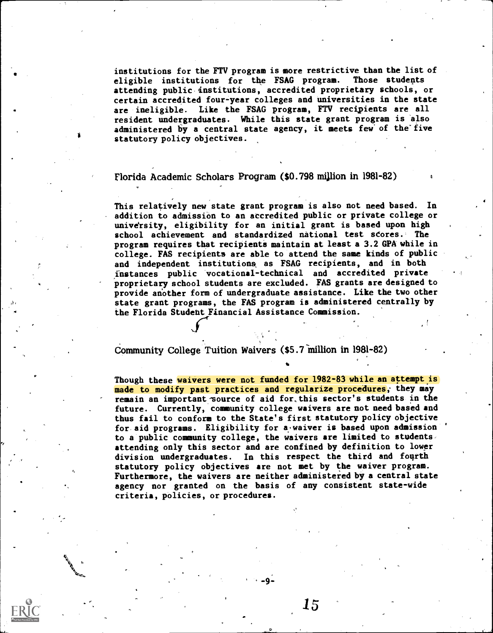institutions for the FTV program is more restrictive than the list of eligible institutions for the FSAG program. Those students attending public institutions, accredited proprietary schools, or certain accredited four-year colleges and universities in the state are ineligible. Like the FSAG program, FTV recipients are all resident undergraduates. While this state grant program is also administered by a central state agency, it meets few of the five statutory policy objectives.

#### Florida Academic Scholars Program (\$0.798 million in 1981-82) <sup>A</sup>

This relatively new state grant program is also not need based. In addition to admission to an accredited public or private college or university, eligibility for an initial grant is based upon high school achievement and standardized national test scores.. The program requires that recipienti maintain at least a 3.2 GPA while in college. FAS recipients are able to attend the same kinds of public and independent institutiona as FSAG recipients, and in both instances public 'vocational-technical and accredited private proprietary school students are excluded. FAS grants are designed to provide another form of undergraduate assistance. Like the two other state grant programs, the FAS program is administered centrally by the Florida Studeht Financial Assistance Commission.

4

Community College Tuition Waivers (\$5.7 million in 1981-82)

Though these waivers were not funded for 1982-83 while an attempt is made to modify past practices and regularize procedures, they may remain an important source of aid for, this sector's students in the future. Currently, community college waivers are not need based and thus fail to conform to the State's first statutory policy objective for aid programs. Eligibility for a waiver is based upon admission to a public community college, the waivers are limited to students. attending only this sector and are confined by definition to lower division undergraduates. In this respect the third and fonrth statutory policy objectives are not met by the waiver program. Furthermore, the waivers are neither administered by a central state agency nor granted on the basis of any consistent state-wide criteria, policies, or procedures.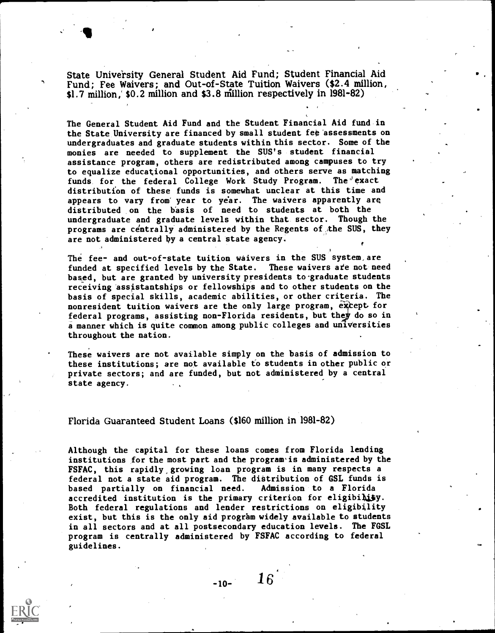State University General Student Aid Fund; Student Financial Aid Fund; Fee Waivers; and Out-of-State Tuition Waivers (\$2.4 million, \$1.7 million, \$0.2 million and \$3.8 million respectively in 1981-82)

The General Student Aid Fund and the Student Financial Aid fund in the State University are financed by small student fee'assessments on undergraduates and graduate students within this sector. Some of the monies are needed to supplement the SUS's student financial assistance program, others are redistributed among campuses to try to equalize educational opportunities, and others serve as matching funds for the federal College Work Study Program. The exact distribution of these funds is somewhat unclear at this time and appears to vary from year to year. The waivers apparently are distributed on the basis of need to students at both the undergraduate and graduate levels within that sector. Though the programs are centrally administered by the Regents of the SUS, they are not administered hy a central state agency.

The fee- and out-of-state tuition waivers in the SUS system,are funded at specified levels by the State. These waivers ate not need based, but are granted by university presidents to graduate students receiving assistantships or fellowships and to other students on the basis of special skills, academic abilities, or other criteria. The nonresident tuition waivers are the only large program, except for<br>federal programs, assisting non-Florida residents, but they do so in a manner which is quite common among public colleges and universities throughout the nation.

t

These waivers are not available simply on the basis of admission to these institutions; are not available to students in other public or private sectors; and are funded, but not administered by a central state agency.

#### Florida Guaranteed Student Loans (\$160 million in 1981-82)

Although the capital for these loans comes from Florida lending institutions for the most part and the prograwis administered by the FSFAC, this rapidly, growing loan program is in many respects a federal not a state aid program. The distribution of GSL funds is<br>based partially on financial need. Admission to a Florida based partially on financial need. accredited institution is the primary criterion for eligibility. Both federal regulations and lender restrictions on eligibility exist, but this is the only aid program widely available to students in all sectors and at all postsecondary education levels. The FGSL program is centrally administered by FSFAC according to federal guidelines.

 $-10-16$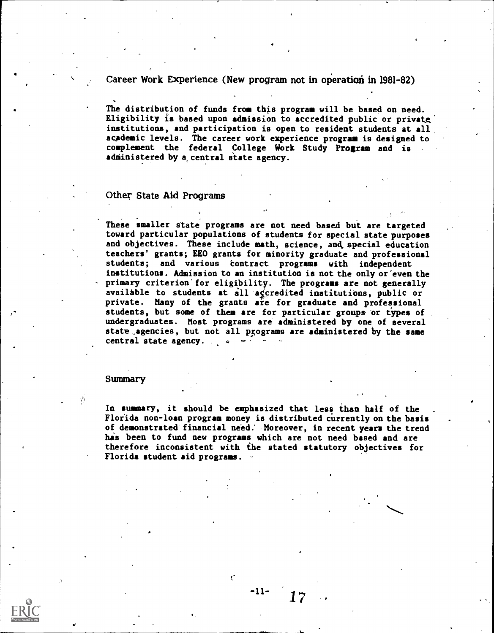Career Work Experience (New program not in operation in 1981-82)

The distribution of funds from this program will be based on need. Eligibility is based upon admission to accredited public or private' institutions, and participation is open to resident students at all academic levels. The career work experience program is designed to complement the federal College Work Study Program and is administered by a central state agency.

#### Other State Add Programs

These smaller state programs are not need based but are targeted toward particular populations of students for special state purposes and objectives. These include math, science, and, special education teachers' grants; EEO grants for minority graduate and professional students; and various contract programs with independent institutions. Admission to an institution is not the only or'even the primary criterion'for eligibility. The programs are not generally available to students at all ageredited institutions, public or private. Many of the grants are for graduate and professional students, but some of them are for particular groups or types of undergraduates. Most programs are administered by one of several state agencies, but not all programs are administered by the same central state agency.  $\mathbb{R}^n$ 

#### Summary

In summary, it should be emphasized that less than half of the Florida non-loan program money is distributed currently on the basis of demonstrated financial need: Moreover, in recent years the trend has been to fund new programs which are not need based and are therefore inconsistent with ihe stated statutory objectives for Florida student aid programs.

-11-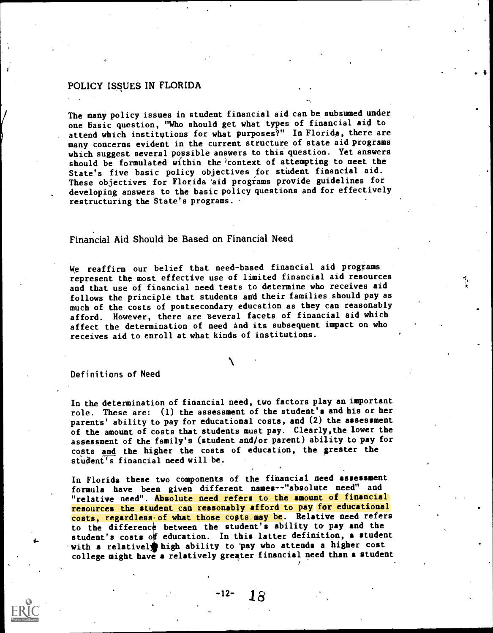## POLICY ISSUES IN FLORIDA

The many policy issues in student financial aid can be subsumed under one basic question, "Who should get what types of financial aid to attend which institutions for what purposes?" In Florida, there are many concerns evident in the current structure of state aid programs which suggest several possible answers to this question. Yet answers should be formulated within the context of attempting to meet the State's five basic policy objectives for student financial aid. These objectives for Florida aid programs provide guidelines for developing answers to the basic policy questions and for effectively restructuring the State's programs.

## Financial Aid Should be Based on Financial Need

We reaffirm our belief that need-based financial aid programs represent the most effective use of limited financial aid resources and that use of financial need tests to determine who receives aid follows the principle that students and their families should pay as much of the costs of postsecondary education as they can reasonably afford. However, there are several facets of financial aid which affect the determination of need and its subsequent impact on who receives aid to enroll at what kinds of institutions.

#### Definitions of Need

In the determination of financial need, two factors play an important role. These are: (1) the assessment of the student's and his or her parents' ability to pay for educational costs, and (2) the assessment of the amount of costs that students must pay. Clearly,the lower the assessment of the family's (student and/or parent) ability to pay for costs and the higher the costs of education, the greater the student's financial need will be.

In Florida these two components of the financial need assessment formula have been given different names--"absolute need" and "relative need". Absolute need refers to the amount of financial resources the student can reasonably afford to pay for educational costs, regardless, of what those costs may be. Relative need refers to the difference between the student's ability to pay and the student's costs of education. In this latter definition, a student with a relativel high ability to 'pay who attends a higher cost college might have a relatively greater financial need than a student

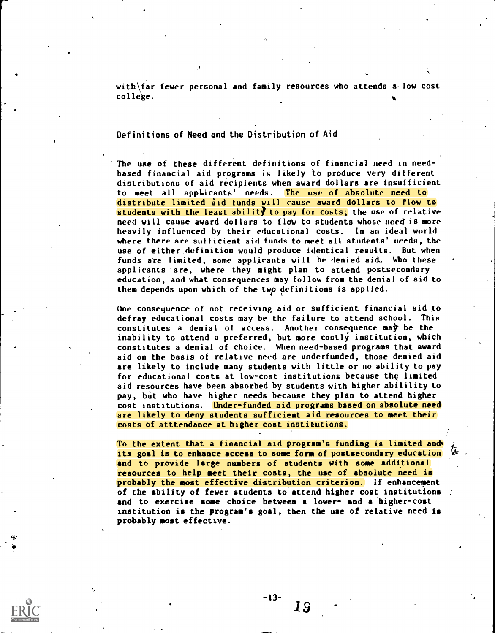with  $\bar{B}$  fewer personal and family resources who attends a low cost college.  $\bullet$  . The e.g.  $\bullet$  . The e.g.  $\bullet$  . In the e.g.  $\bullet$  . In the e.g.  $\bullet$  . In the e.g.  $\bullet$  .

#### Definitions of Need and the Distribution of Aid

The use of these different definitions of financial need in needbased financial aid programs is likely to produce very different distributions of aid recipients when award dollars are insufficient to meet all applicants' needs. The use of absolute need to distribute limited aid funds will cause award dollars to flow to students with the least ability to pay for costs; the use of relative need will cause award dollars to flow to students whose need is more heavily influenced by their educational costs. In an ideal world where there are sufficient aid funds to meet all students' needs, the use of either.definition would produce identical reswits. But when funds are limited, some applicants will be denied aid. Who these applicants 'are, where they might plan to attend postsecondary education, and what consequences may follow from the denial of aid to them depends upon which of the Lwp definitions is applied.

One consequence of not receiving aid or sufficient financial aid to defray educational costs may be the failure to attend school. This constitutes a denial of access. Another consequence may be the inability to attend a preferred, but more costly institution, which constitutes a denial of choice. When need-based programs that award aid on the basis of relative need are underfunded, those denied aid are likely to include many students with little or no ability to pay for educational costs at low-cost institutions because the limited aid resources have been absorbed by students with higher abilility to pay, but who have higher needs because they plan to attend higher cost institutions. Under-funded aid programs based on absolute need are likely to deny students sufficient aid resources to meet their costs of atttendance at higher cost institutions.

To the extent that a financial aid program's funding is limited and its goal is to enhance access to some form of postsecondary education and to provide large numbers of students with some additional resources to help meet their costs, the use of absolute need is probably the most effective distribution criterion. If enhancenent of the ability of fewer students to attend higher cost institutions  $\phi$ and to exercise some choice between a lower- and a higher-cost institution is the program's goal, then the use of relative need is probably most effective.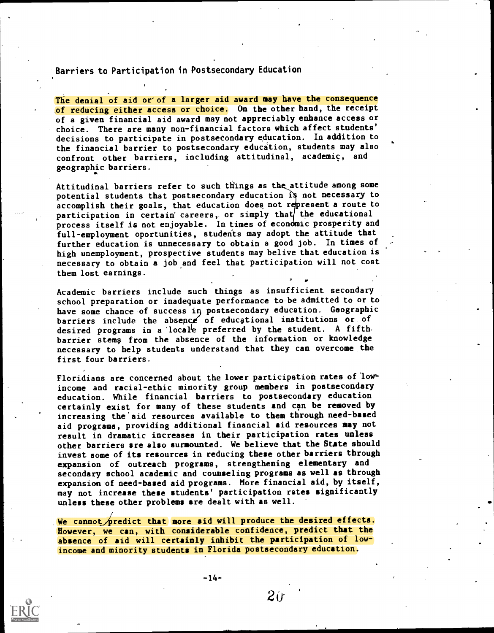Barriers to Participation in Postsecondary Education

The denial of aid or of a larger aid award may have the consequence of reducing either access or choice. On the other hand, the receipt of a given financial aid award may not appreciably enhance access or choice. There are many non-financial factors which affect students' decisions to participate in postsecondary education. In addition to the financial barrier to postsecondary education, students may also confront other barriers, including attitudinal, academic, and geographic barriers.

Attitudinal barriers refer to such things as the attitude among some potential students that postsecondary education is not necessary to accomplish their goals, that education does not represent a route to participation in certain careers, or simply that the educational process itself is not enjoyable. In times of econdmic prosperity and full-employment oportunities, students may adopt the attitude that further education is unnecessary to obtain a good job. In times of high unemployment, prospective students may belive that education is necessary to obtain a job and feel that participation will not cost them lost earnings.

Academic barriers include such things as insufficient secondary school preparation or inadequate performance to be admitted to or to desired programs in a locale preferred by the student. A fifth  $\blacksquare$ have some chance of success i postsecondary education. Geographic barriers include the absence of educational institutions or of barrier stems from the absence of the information or knowledge necessary to help students understand that they can overcome the first four barriers.

Floridians are concerned about the lower participation rates of lowincome and racial-ethic minority group members in postsecondary education. While financial barriers to postsecondary education certainly exist for many of these students and can be removed by increasing the'aid resources available to them through need-based aid programs, providing additional financial aid resources may not result in dramatic increases in their participation rates unless other barriers are also surmounted. We believe that the State should invest some of its resources in reducing these other barriers through expansion of outreach programs, strengthening elementary and secondary school academic and counseling programs as well as through expansion of need-based aid programs. More financial aid, by itself, may not increase these students' participation rates significantly unless these other problems are dealt with as well.

We cannot predict that more aid will produce the desired effects. However, we can, with considerable confidence, predict that the absence of aid will certainly inhibit the participation of lowincome and minority students in Florida postsecondary education.

-14-



 $2<sub>if</sub>$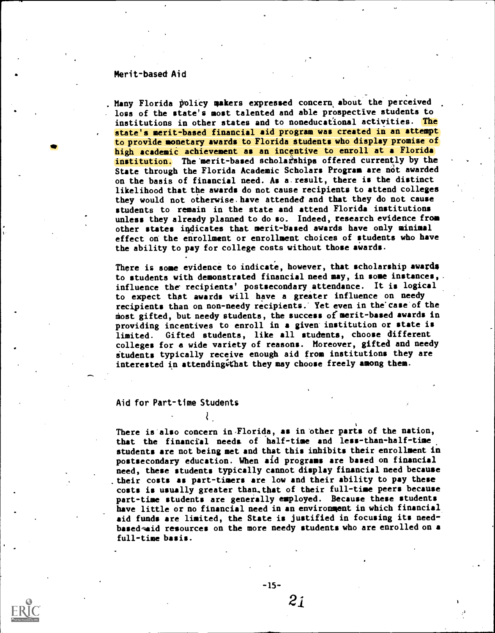#### Merit-based Aid

Many Florida policy makers expressed concern about the perceived loss of the state's most talented and able prospective students to institutions in other states and to noneducational activities. The state's merit-based financial aid program was created in an attempt to provide monetary awards to Florida Students who display promise of high academic achievement as an incentive to enroll at a Florida institution. The merit-based scholarships offered currently by the State through the Florida Academic Scholars Program are not awarded on the basis of financial need. As a.result, there is the distinct likelihood that the awards do not cause recipients to attend colleges they would not otherwise.have attended and that they do not cause students to remain in the state and attend Florida institutions unless they already planned to do so. Indeed, research evidence from other states indicates that merit-based awards have only minimal effect on' the enrollment or enrollment choices of students who have the ability to pay for college costs without those awards.

There is some evidence to indicate, however, that scholarship awards to students with demonstrated financial need may, in some instances, influence the recipients' postsecondary attendance. It is logical to expect that awards will have a greater influence on needy recipients than on non-needy recipients.' Yet even in the'case'of the most gifted, but needy students, the success of merit-based awards in providing incentives to enroll in a given institution or state is limited. Gifted students, like all students, choose different colleges for a wide variety of reasons. Moreover, gifted and needy students typically receive enough aid from institutions they are interested in attending that they may choose freely among them.

#### Aid for Part-time Students

₹

There is also concern in-Florida, as in other parts of the nation, that the financial needs of half-time and less-than-half-time students are not being met and that this inhibits their enrollment in postsecondary education. When aid programs are based on financial need, these students typically cannot display financial need because their costs as part-timers are low and their ability to pay these costs is usually greater than, that of their full-time peers because part-time students are generally employed. Because these students have little or no financial need in an environment in which financial aid funds are limited, the State is justified in focusing its needbased-maid resources on the more needy students who are enrolled on a full-time basis.

 $-15-$ 

 $2i$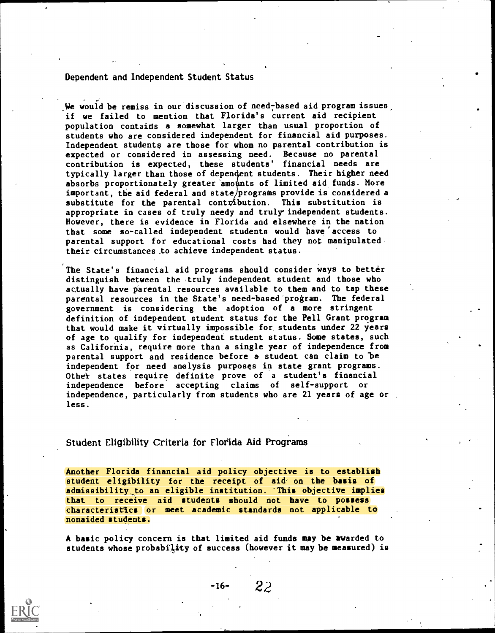Dependent and Independent Student Status

We would be remiss in our discussion of need-based aid program issues, if we failed to mention that Florida's current aid recipient population contaids a somewhat larger than usual proportion of students who are considered independent for financial aid purposes. Independent students are those for whom no parental contribution is expected or considered in assessing need. Because no parental contribution is expected, these students' financial needs are typically larger than those of depen4ent students. Their higher need absorbs proportionately greater amounts of limited aid funds. More important, the aid federal and state/programs provide is considered a substitute for the parental contribution. This substitution is appropriate in cases of truly needy and truly independent students. However, there is evidence in Florida and elsewhere in the nation that some so-called independent students would have access to parental support for educational costs had they not manipulated their circumstances,to achieve independent status.

The State's financial aid programs should consider ways to better distinguish between the 'truly independent student and those who actually have parental resources available to them and to tap these parental resources in the State's need-based program. The federal government is considering the adoption of a more stringent definition of independent student status for the Pell Grant program that would make it virtually impossible for students under 22 years of age to qualify for independent student status. Some states, such as California, require more than a single year of independence from parental support and residence before a student can claim to be independent for need analysis purposes in state grant programs. Other states require definite prove of a student's financial independence before accepting claims of self-support or independence, particularly from students who are 21 years of age or less.

Student Eligibility Criteria for Florida Aid Programs

Another Florida financial aid policy objective is to establish student eligibility for the receipt of aid' on the basis of admissibility to an eligible institution. This objective implies that to receive aid students should not have to possess characteristics or meet academic standards not applicable to nonaided students.

A basic policy concern is that limited aid funds may be awarded to students whose probability of success (however it may be measured) is



-16- 22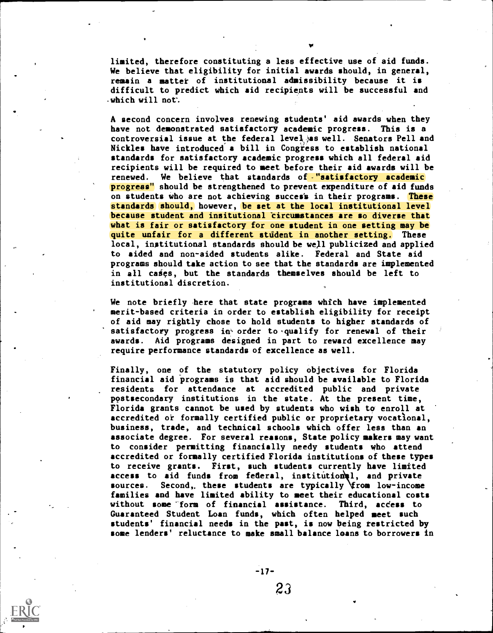limited, therefore constituting a less effective use of aid funds. We believe that eligibility for initial awards should, in general, remain a mattet of institutional admissibility because it is difficult to predict which aid recipients will be successful and  $\cdot$ which will not.

A second concern involves renewing students' aid awards when they have not demonstrated satisfactory academic progress. This is a controversial issue at the federal level  $\rho$  as well. Senators Pell and Nickles have introduced a bill in Congress to establish national standards for satisfactory academic progress which all federal aid recipients will be required to meet before their aid awards will be renewed. We believe that standards of "satisfactory academic progress" should be strengthened to prevent expenditure of aid funds on students who are not achieving succes's in their programs. These standards should, however, be set at the local institutional level because student and insitutional circumstances are so diverse that what is fair or satisfactory for one student in one setting may be quite unfair for a different student in another setting. These local, institutional standards should be well publicized and applied to aided and non-aided students alike. Federal and State aid programs should take action to see that the standards are implemented in all cases, but the standards themselves should be left to institutional discretion.

We note briefly here that state programs which have implemented merit-based criteria in order to establish eligibility for receipt of aid may rightly chose to hold students to higher standards of satisfactory progress in order to qualify for renewal of their awards. Aid programs designed in part to reward excellence may require performance standards of excellence as well.

Finally, one of the statutory policy objectives for Florida financial aid programs is that aid should be available to Florida residents for attendance at accredited public and private postsecondary institutions in the state. At the present time, Florida grants cannot be used by students who wish to enroll at accredited ot formally certified public or proprietary vocatlonal, business, trade, and technical schools which offer less than an associate degree. For several reasons, State policy makers may want to consider permitting financially needy students who attend accredited or formally certified Florida institutions of these types to receive grants. First, such students currently have limited access to aid funds from federal, institutional, and private sources. Second, these students are typically \from low-income families and have limited ability to meet their educational costs without some 'form of financial assistance. Third, aceess to Guaranteed Student Loan funds, which often helped meet such students' financial needs in the past, is now being testricted by some lenders' reluctance to make small balance loans to borrowers in



23

-17-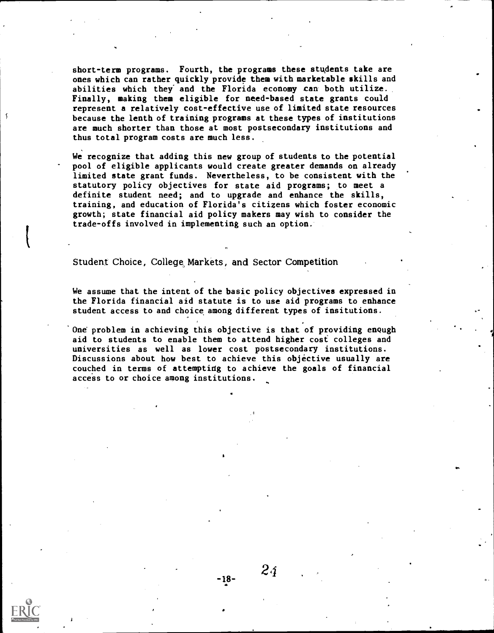short-term programs. Fourth, the programs these students take are ones which can rather quickly provide them with marketable skills and abilities which they' and the Florida economy can both utilize. Finally, making them eligible for need-based state grants could represent a relatively cost-effective use of limited state resources because the lenth of training programs at these types of institutions are much shorter than those at most postsecondary institutions and thus total program costs are much less.

We recognize that adding this new group of students to the potential pool of eligible applicants would create greater demands on already limited state grant funds. Nevertheless, to be consistent with the statutory policy objectives for state aid programs; to meet a definite student need; and to upgrade and enhance the skills, training, and education of Florida's citizens which foster economic growth; state financial aid policy makers may wish to consider the trade-offs involved in implementing such an option.

Student Choice, College, Markets, and Sector Competition

We assume that the intent of the basic policy objectives expressed in the Florida financial aid statute is to use aid programs to enhance student access to and choice among different types of insitutions.

One problem in achieving this objective is that of providing enough aid to students to enable them to attend higher cost colleges and universities as well as lower cost postsecondary institutions. Discussions about how best to achieve this objective usually are couched in terms of attemptidg to achieve the goals of financial access to or choice among institutions.

-18-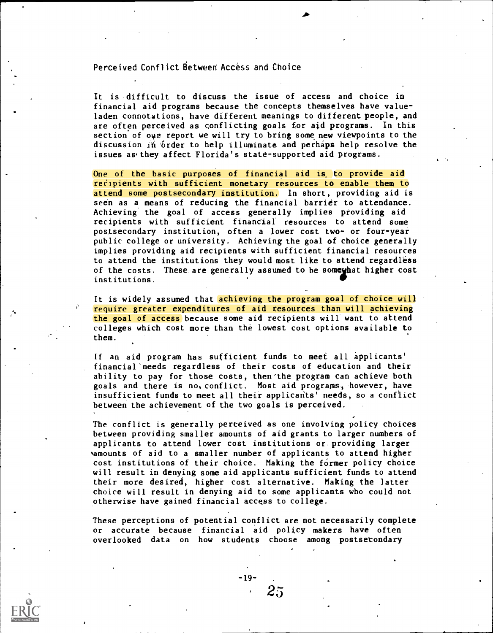### Perceived Conflict Between Access and Choice

It is difficult to discuss the issue of access and choice in financial aid programs because the concepts themselves have valueladen connotations, have different meanings to different people, and are often perceived as conflicting goals for aid programs. In this section of our report we will try to bring some new viewpoints to the discussion in brder to help illuminate and perhaps help resolve the issues asthey affect Florida's state-supported aid programs.

One of the basic purposes of financial aid is, to provide aid recipients with sufficient monetary resources to enable them to attend some postsecondary institution, ln short, providing aid is seen as a means of reducing the financial barrier to attendance. Achieving the goal of access generally implies providing aid recipients with sufficient financial resources to attend some postsecondary institution, often a lower cost two- or four-year' public college or university. Achieving the goal of choice generally implies providing aid recipients with sufficient financial resources to attend the institutions they would most like to attend regardless of the costs. These are generally assumed to be someyhat higher cost institutions.

It is widely assumed that achieving the program goal of choice will require greater expenditures of aid resources than will achieving the goal of access because some aid recipients will want to attend colleges which cost more than the lowest cost options available to them.

If an aid program has sufficient funds to meet all applicants' financial'needs regardless of their costs of education and their ability to pay for those costs, then'the program can achieve both goals and there is no, conflict. Most aid programs, however, have insufficient funds to meet all their applicants' needs, so a conflict between the achievement of the two goals is perceived.

The conflict is generally perteived as one involving policy choices between providing smaller amounts of aid grants to larger numbers of applicants to attend lower cost institutions or providing larger vamounts of aid to a smaller number of applicants to attend higher cost institutions of their choice. Making the former policy choice will result in denying some aid applicants sufficient funds to attend their more desired, higher cost alternative. Making the latter choice will result in denying aid to some applicants who could not otherwise have gained financial access to college.

These perceptions of potential conflict are not necessarily complete or accurate because financial aid policy makers have often overlooked data on how students choose among postsetondary



-19-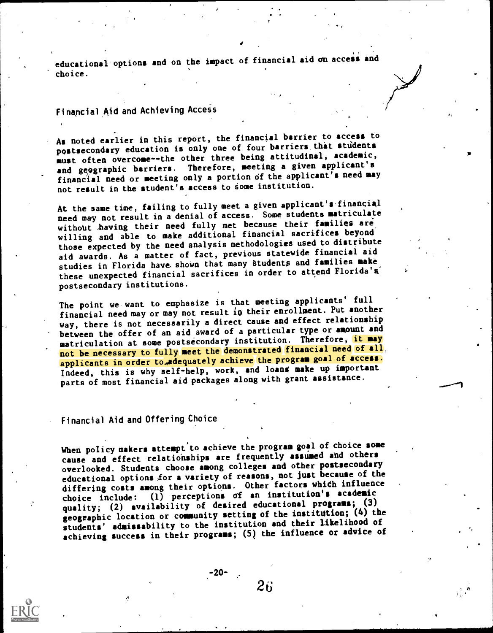educational options and on the impact of financial aid on access and choice.

## Finapcial,Aid and Achieving Access

As noted earlier in this report, the financial barrier to access to postsecondary education is only one of four barriers that stidents must often overcome--the other three being attitudinal, academic, and geographic barriers. Therefore, meeting a given applicant's financial need or meeting only a portion df the applicant's need may not result in the student's access to some institution.

At the same time, failing to fully meet a given applicant's'financial need may not result in a denial of access. Some students matriculate without having their need fully met because their families are willing and able to make additional financial sacrifices beyond' those expected by the need analysis methodologies used to distribute aid awards. As a matter of fact, previous statewide financial aid studies in Florida have shown that many students and families make these unexpected financial sacrifices in order to attend Florida'a postsecondary institutions.

The point we want to emphasize is that meeting applicants' full financial need may or may not result in their enrollment. Put another way, there is not necessarily a direct cause and effect relationship between the offer of an aid award of a particular type or amount and matriculation at some postsecondary institution. Therefore, it may not be necessary to fully meet the demonstrated financial need of all applicants in order to adequately achieve the program goal of access: Indeed, this is why self-help, work, and loans make up important parts of most financial aid packages along with grant assistance.

## Financial Aid and Offering Choice

When policy makers attempt to achieve the program goal of choice some cause and effect relatiohships are frequently assumed and others overlooked. Students choose among colleges and other postsecondary educational options for a variety of reasons, not just because of the differing costs among their options. Other factors which influence choice include: (1) perceptions of an institution's academic quality; (2) availability of desired educational programs; (3) geographic location or community setting of the institution; (4) the students' admissability to the institution and their likelihood of achieving success in their programs; (5) the influence or advice of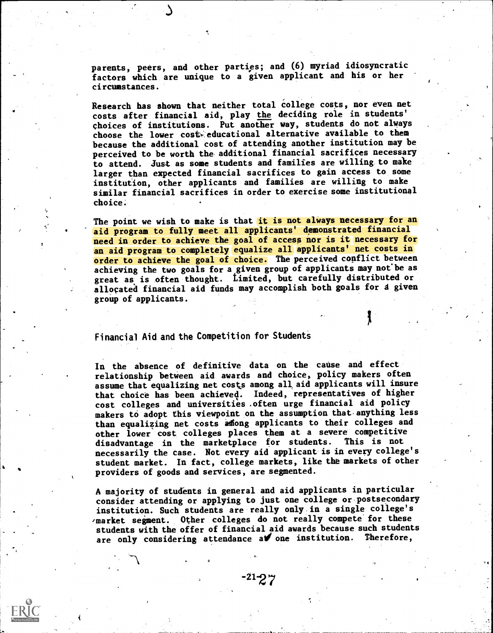parents, peers, and other parties; and (6) myriad idiosyncratic factors which are unique to a given applicant and his or her circumstances.

Research has shown that neither total college costs, nor even net costs after financial aid, play the deciding role in students' choices of institutions. Put another way, students do not always choose the lower cost-educational alternative available to them because the additional cost of attending another institution may be perceived to be worth the, additional financial sacrifices necessary to attend. Just as some students and families are willing to make larger than expected financial sacrifices to gain access to some institution, other applicants and families are willing to make similar financial sacrifices in order to exercise some institutional choice.

The point we wish to make is that it is not always necessary for an aid program to fully meet all applicants' demonstrated financial need in order to achieve the goal of access nor is it necessary for an aid program to completely equalize all applicants' net costs in order to achieve the goal of choice. The perceived conflict between achieving the two goals for a given group of applicants may not be as great as is often thought. Limited, but carefully distributed or allocated financial aid funds may accomplish both goals for a given group of applicants.

Financial Aid and the Competition for Students

In the absence of definitive data on the cause and effect relationship between aid awards and choice, policy makers often assume that equalizing net costs among all, aid applicants will insure that choice has been achieved. Indeed, representatives of higher cost colleges and universities often urge financial aid policy makers to adopt this viewpoint on the assumption that anything less than equalizing net costs adong applicants to their colleges and other lower cost colleges places them at a severe competitive disadvantage in the marketplace for students. This is not necessarily the case. Not every aid applicant is in every college's student market. In fact, college markets, like the markets of other providers of goods and services, are segmented.

A majority of students in general and aid applicants in particular consider attending or applying to just one college or postsecondary institution. Such students are really only in a single college's 'market segment. Other colleges do not really compete'for these students with the offer of financial aid awards because such students are only considering attendance a vone institution. Therefore,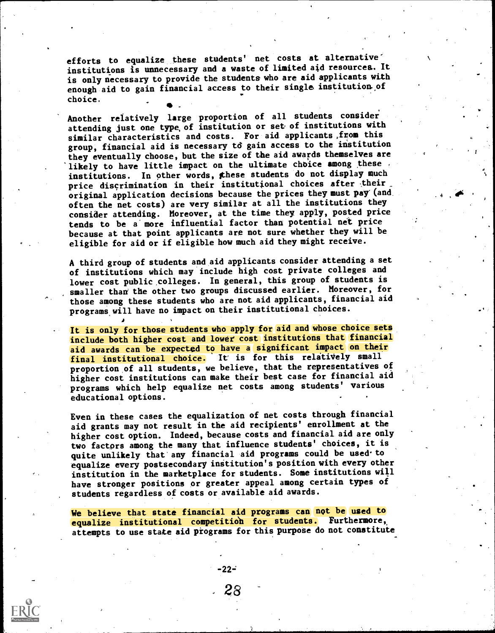efforts to equalize these students' net costs at alternative institutions is unnecessary and a waste of limited aid resources. It is only necessary to provide the students who are aid applicants with enough aid to gain financial access to their single institution of choice.

Another relatively large proportion of all students consider attending just one type of institution or set of institutions with similar characteristics and costs. For aid applicants,from this group, financial aid is necessary td gain access to the institution they eventually choose, but the size of the aid awards themselves are likely to have little impact on the ultimate choice among these institutions. In other words, these students do not display much price discrimination in their institutional choices after their original application decisions because the prices they must pay'(and often the net costs) are very similar at all the institutions they consider attending. Moreover, at the time they apply, posted price tends to be a'more influential factor than potential net price because at that point applicants are not sure whether they will be eligible for aid or if eligible how much aid they might receive.

A third group of students and aid applicants consider attending a set of institutions which may include high cost private colleges and lower cost public colleges. In general, this group of students is smaller than the other two groups discussed earlier. Moreover, for those among these students who are not aid applicants, financial aid programs will have no impact on their institutional choices.

It is only for those students who apply for aid and whose choice sets include both higher cost and lower cost institutions that financial aid awards can be expected to have a significant impact on their final institutional choice. It is for this relatively small proportion of all students, we believe, that the representatives of higher cost institutions can make their best case for financial aid programs which help equalize net costs among students' various educational options.

Even in these cases the equalization of net costs through financial aid grants may not result in the aid recipients' enrollment at the higher cost option. Indeed, because costs and financial aid are only two factors among the many that influence students' choices, it is quite unlikely that any financial aid programs could be used to equalize every postsecondary institution's position with every other institution in the marketplace for students. Some institutions will have stronger positions or greater appeal among certain types of students regardless of costs or available aid awards.

We believe that state financial aid programs can not be used to equalize institutional competition for students. Furthermore, attempts to use state aid programs for this purpose do not constitute

28

-22-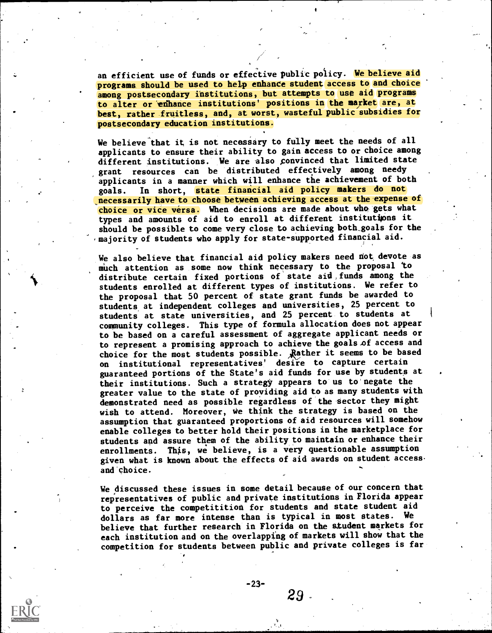an efficient use of funds or effective public policy. We believe aid programs should be used to help enhance student access to and choice among postsecondary institutions, but attempts to use aid programs to alter or enhance institutions' positions in the market are, at best, rather fruitless, and, at worst, wasteful public subsidies for postsecondary education institutions.

We believe that it is not necessary to fully meet the needs of all applicants to ensure their ability to gain access to or choice among different institutions. We are also convinced that limited state grant resources can be distributed effectively among needy applicants in a manner which will enhance the achievement of both goals. In short, state financial aid policy makers do not necessarily have to choose between achieving access at the expense of choice or vice versa. When decisions are made about who gets what types and amounts of aid to enroll at different institutijons it should be possible to come very close to achieving both,goals for the majority of students who apply for state-supported financial aid.

We also believe that financial aid policy makers need not devote as much attention as some now think necessary to the proposal to distribute certain fixed portions of state aid,funds among the students enrolled at different types of institutions. We refer to the proposal that 50 percent of state grant funds be awarded to students at independent colleges and universities, 25 percent to students at state universities, and 25 percent to students at community colleges. This type of formula allocation does not appear to be based on a careful assessment of aggregate applicant needs or to represent a promising approach to achieve the goals of access and choice for the most students possible. Rather it seems to be based on institutional representatives' desire to capture certain guaranteed portions of the State's aid funds for use by students at their institutions. Such a strategy appears to us to negate the greater value to the state of providing aid to as many students with demonstrated need as possible regardless of the aector they might wish to attend. Moreover, We think the strategy is based on the assumption that guaranteed proportions of aid resources will somehow enable colleges to better hold their positions in the marketplace for students and assure them of the ability to maintain or enhance their enrollments. This, we believe, is a very questionable assumption given what is known about the effects of aid awards on student access. and choice.

We discussed these issues in some detail because of our concern that representatives of public and private institutions in Florida appear to perceive the competitition for students and state student aid dollars as far more intense than is typical in most states. We believe that further research in Florida on the student markets for each institution and on the overlapping of markets will show that the competition for students between public and private colleges is far

-23-

29

ro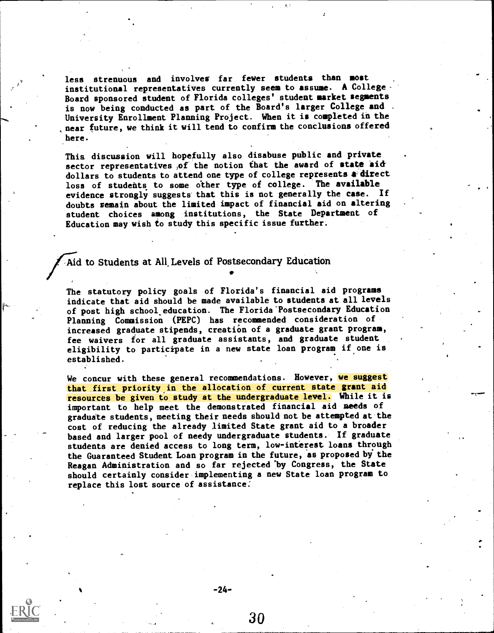less strenuous and involves far fewer students than most institutional representatives currently seem to assume. A College-Board sponsored student of Florida colleges' student market segments is now being conducted as part of the Board's larger College and , University Enrollment Planning Project. When it is completed in the near future, we think it will tend to confirm the conclusions offered here.

Thia discussion will hopefully also disabuse public and private sector representatives of the notion that the award of state aid dollars to students to attend one type of college represents a direct loss of students to some other type of college. The available evidence strongly suggests that this is not generally the case. If doubts remain about the limited impact of financial aid on altering student choices among institutions, the State Department of Education may wish to study this specific issue further.

## Aid to Students at All Levels of Postsecondary Education

The statutory policy goals of Florida's financial aid programs indicate that aid should be made available to students at all levels of post high school.education. The Florida'Postsecondary Education Planning Commission (PEPC) has recommended consideration of increased graduate stipends, creation of a graduate grant program, fee waivers for all graduate assistants, and graduate student eligibility to participate in a new state loan program if one is established.

\*

We concur with these general recommendations. However, we suggest that first priority in the allocation of current state grant aid resources be given to study at the undergraduate level. While it is important to help meet the demonstrated financial aid needs of graduate students, meeting their needs should not be attempted at the cost of reducing the already limited State grant aid to a broader based and larger pool of needy undergraduate students. If graduate students are denied access to long term, low-interest loans through the Guaranteed Student Loan program in the future, as proposed by the Reagan Administration and so far rejected'by Congress, the State should certainly consider implementing a new State loan program to replace this lost source of assistance:

-24-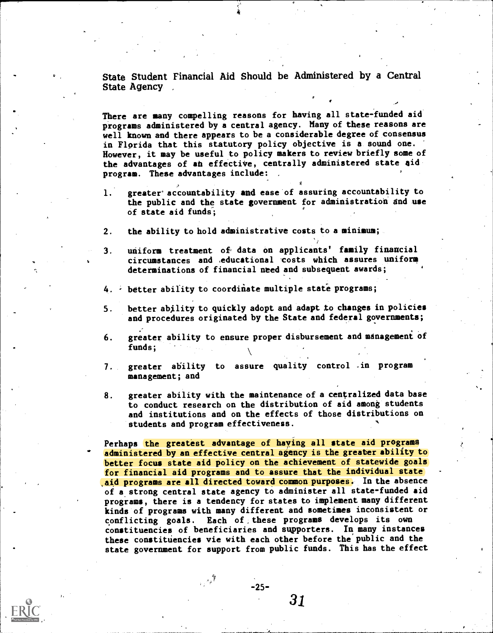State Student Financial Aid Should be Administered by a Central State Agency ,

There are many compelling reasons for having all state-funded aid programs administered by a central agency. Many of these reasons are well known and there appears to be a considerable degree of consensus in Florida that this statutory policy objective is a sound one. However, it may be useful to policy makers to review briefly some of the advantages of an effective, centrally administered state aid program. These advantages include: ,

- 1. greater'accountability and ease of assuring accountability to the public and the state government for administration and use of state aid funds;
- 2. the ability to hold administrative costs to a minimum;
- 3. uniform treatment of data on applicants' family financial circumstances and ,educational costs which assures uniform determinations of financial need and subsequent awards;
- 4. better ability to coordinate multiple state programs;
- 5. better ability to quickly adopt and adapt to changes in policies and procedures originated by the State and federal governments;
- 6. greater ability to ensure proper disbursement and management of funds;
- 7. greater ability to assure quality control .in program management; and
- 8. greater ability with the maintenance of a centralized data base to conduct research on the distribution of aid among students and institutions and on the effects of those distributions on students and program effectiveness.

Perhaps the greatest advantage of haying all state aid programs administered by an effective central agency is the greater ability to better focus state aid policy on the achievement of statewide goals for financial aid programs and to assure that the individual state aid programs are all directed toward common purposes. In the absence of a strong central state agency to administer all state-funded aid programs, there is a tendency for states to implement many different kinds of programs with many different and sometimes inconsistent or conflicting goals. Each of, these programs develops its own constituencies of beneficiaries and supporters. In many instances these constituencies vie with each other before the public and the state government for support from public funds. This has the effect

-25-

 $\mathcal{F}_{\mathbf{q},\mathbf{q},\mathbf{q}}$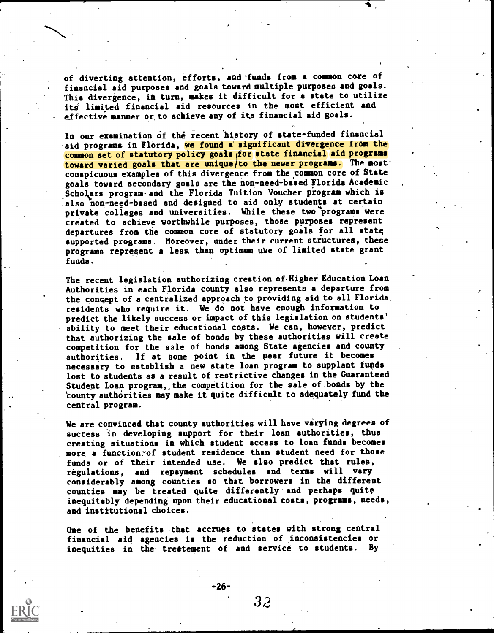of diverting attention, efforts, and ^funds from a common core of financial aid purposes and goals toward multiple purposes and goals. This divergence, in turn, makes it difficult for a state to utilize its' limited financial aid resources in the most efficient and effective manner or,to achieve any of its financial aid goals.

In our examination of the recent history of state-funded financial aid programs in Florida, we found a significant divergence from the common set of statutory policy goals for state financial aid programs toward varied goals that are unique/to the newer programs. The most' conspicuous examples of this divergence from the common core of State goals toward secondary goals are the non-need-based Florida Academic Scholars program-and the Florida Tuition Voucher program which is also non-need-based and designed to aid only students at certain private colleges and universities. While these two programs were created to achieve worthwhile purposes, those purposes represent departures from tie common core of statutory goals for all statq supported programs. Moreover, under their current structures, these programs represent a less than optimum use of limited state grant funds.

The recent legislation authorizing creation of Higher Education Loan Authorities in each Florida county also represents a departure from the concept of a centralized approach to providing aid to all Florida. residents who require it. We do not have enough information to predict the likely success or impact of this legislation on students' ability to meet their educational costs. We can, however, predict that authorizing the sale of bonds by these authorities will create competition for the sale of bonds among State agencies and county authorities. If at some point in the pear future it becomes necessary-to establish a new state loan program to supplant funds lost to students as a result of restrictive changes in the Guaranteed Studept Loan program,,the competition for the sale of.bonds by the 'county authorities may make it quite difficult to adequately fund the central program.

We are convinced that county authorities will have varying degrees of success in developing support for their loan authorities, thus creating situations in which student access to loan funds becomes more a function of student residence than student need for those funds or of their intended use. We also predict that rules, regulations, and repayment schedules and terms will vary considerably among counties so that borrowers in the different counties may be treated quite differently and perhaps quite inequitably depending upon their educational costs, programs, needs, and institutional choices.

One of the benefits that accrues to states with strong central financial aid agencies is the reduction of inconsistencies or inequities in the trestement of and service to students. By

 $-26-$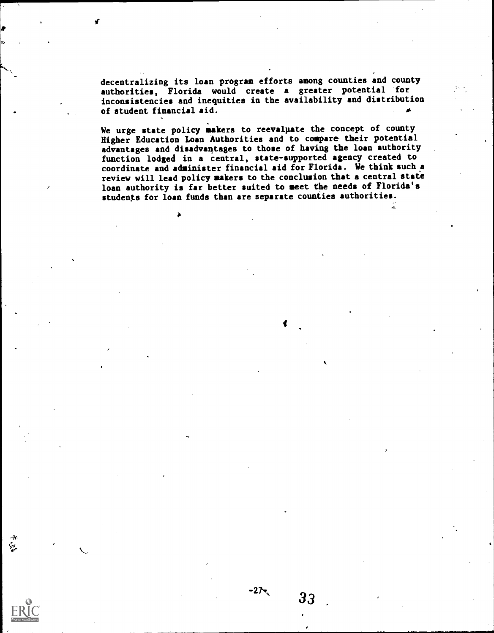decentralizing its loan program efforts among counties and county authorities, Florida would create <sup>a</sup> greater potential for inconsistencies and inequities in the availability and distribution of student financial aid.

We urge state policy makers to reevaluate the concept of county Higher Education Loan Authorities and to compare their potential advantages and disadvantages to those of having the loan authority function lodged in a central, state-supported agency created to coordinate and administer financial aid for Florida. We think such a review will lead policy makers to the conclusion that a central state loan authority is far better suited to meet the needs of Florida's students for loan funds than are separate counties authorities.

 $-275$ 

33

 $\mathbf{y}_i$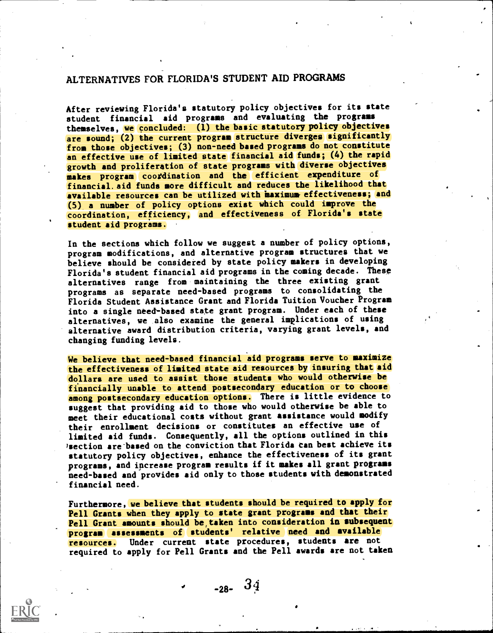## ALTERNATIVES FOR FLORIDA'S STUDENT AID PROGRAMS

After reviewing Florida's statutory policy objectives for its state student financial aid programs and evaluating the programs themselves, we concluded: (1) the basic statutory policy objectives are sound; (2) the current program structure diverges significantly from those objectives; (3) non-need based programs do not constitute an effective use of limited state financial aid funds; (4) the rapid growth and proliferation of state programs with diverse objectives makes program coordination and the efficient expenditure of financial, aid funds more difficult and reduces the likelihood that available resources can be utilized with maximum effectiveness; and (5) a number of policy options exist which could improve the coordination, efficiency, and effectiveness of Florida's state student aid programs.

In the sections which follow we suggest a number of policy options, program modifications, and alternative program structures that we believe should be considered by state policy makers in developing Florida's student financial aid programs in the coming decade. These alternatives range from maintaining the three existing grant programs as separate need-based programs to consolidating the Florida Student Assistance Grant and Florida Tuition Voucher Program into a single need-based state grant program. Under each of these alternatives, we also examine the general implications of using alternative award distribution criteria, varying grant levels, and changing funding levels.

We believe that need-based financial aid programs serve to maximize the effectiveness of limited state aid resources by insuring that aid dollars are used to assist those students who would otherwise be financially unable to attend postsecondary education or to choose among postsecondary education options. There is little evidence to suggest that providing aid to those who would otherwise be able to meet their educational costs without grant assistance would modify their enrollment decisions or constitutes an effective use of limited aid funds. Consequently, all the options outlined in this /section are-based on the conviction that Florida tan best achieve its statutory policy objectives, enhance the effectiveness of its grant programs, and iperease program results if it makes all grant programs need-based and provides aid only to those students with demonstrated financial need.

Furthermore, we believe that students should be required to apply for Pell Grants when they apply to state grant programs and that their Pell Grant amounts should be taken into consideration in subsequent program assessments of students' relative need and available resources. Under current state procedures, students are not required to apply for Pell Grants and the Pell awards are not taken

 $-28 - 34$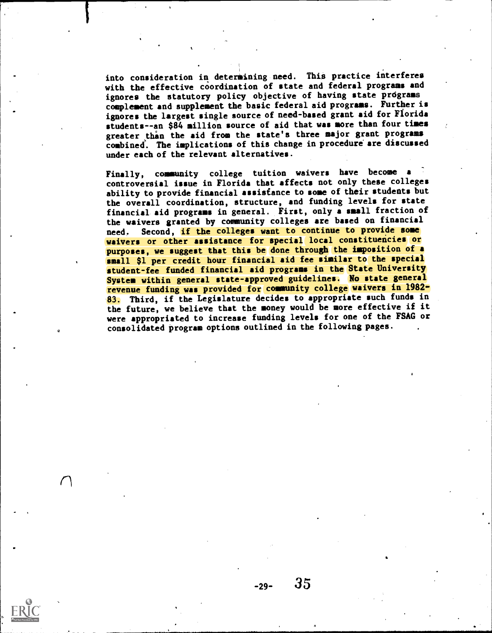into consideration in determining need. This practice interferes with the effective coordination of state and federal programs and ignores the statutory policy objective of having state prdgrams complement and supplement the basic federal aid programs. Further is ignores the largest single source of need-based grant aid for Fiorida students--an \$84 million source of aid that was more than four times greater than the aid from the state's three major grant programs combined'. The implications of this change in procedure' are discussed under each of the relevant alternatives.

Finally, community college tuition waivers have become <sup>a</sup> controversial issue in Florida that affects not only these colleges ability to provide financial assistance to some of their students but the overall coordination, structure, and funding levels for state financial aid programs in general. First, only a small fraction of the waivers granted by community colleges are based on financial need. Second, if the colleges want to continue to provide some waivers or other assistance for special local constituencies or purposes, we suggest that this be done through the imposition of a small \$1 per credit hour financial aid fee similar to the special student-fee funded financial aid programs in the State University System within general state-approved guidelines. No state general revenue funding was provided for community college waivers in 1982- 83. Third, if the Legislature decides to appropriate such funds in the future, we believe that the money would be more effective if it were appropriated to increase funding levels for one of the FSAG or consolidated program options outlined in the following pages.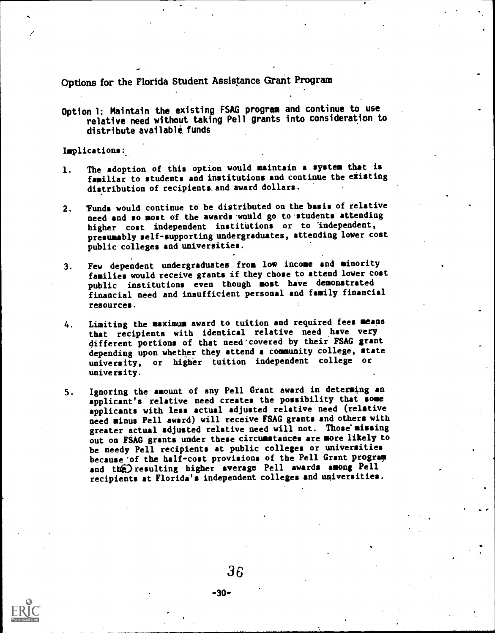Options for the Florida Student Assistance Grant Program

Option l: Maintain the existing FSAG program and continue to use relative need without taking Pell grants into consideration to distribute available funds

Implications:\_

 $\ell$  and  $\ell$ 

- 1. The adoption of this option would maintain a system that is familiar to students and institutions and continue the existing distribution of recipients and award dollars.
- 2. 'Funds would continue to be distributed on the basis of relative need and so most of the awards would go to students attending higher cost independent institutions or to 'independent, presumably self-supporting undergraduates, attending lower cost public colleges and universities.
- 3. Few dependent undergraduates from low income and minority families would receive grants if they chose to attend lower cost public institutions even though most have demonstrated financial need and insufficient personal and family financial resources.
- 4. Limiting the maximum award to tuition and required fees means that recipients with identical relative need have very different portions of that need'covered by their FSAG grant depending upon whether they attend a community college, state university, or higher tuition independent college or university.
- 5. Ignoring the amount of any Pell Grant award in determing an applicant's relative need creates the possibility that some applicants with less actual adjusted relative need (relative need minus Pell award) will receive FSAG grants and others with greater actual adjusted relative need will not. Those missing out on FSAG grants under these circumstances are more likely to be needy Pell recipients at public colleges or universities because'of the half-cost provisions of the Pell Grant program and the resulting higher average Pell awards among Pell recipients at Florida's independent colleges and universities.

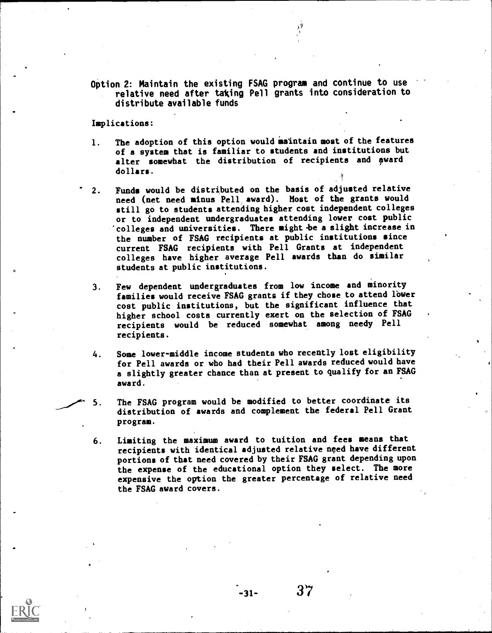Option 2: Maintain the existing FSAG program and continue to use relative need after taking Pell grants into consideration to distribute available funds

Implications:

- 1. The adoption of this option would maintain most of the features of a system that is familiar to students and institutions but alter somewhat the distribution of recipients and award dollars.
- 2. Funds would be distributed on the basis of adjusted relative need (net need minus Pell award). Most of the grants would still go to students attending higher cost independent colleges or to independent undergraduates attending lower cost public 'colleges and universities. There might be a slight increase in the number of FSAG recipients at public institutions since current FSAG recipients with Pell Grants at independent colleges have higher average Pell awards than do similar students at public institutions.
- 3. Few dependent undergraduates from low income and minority families would receive FSAG grants if they chose to attend lower cost public institutions, but the significant influence that higher school costs currently exert on the selection of FSAG recipients would be reduced somewhat among needy Pell recipients.
- 4. Some lower-middle income students who recently lost eligibility for Pell awards or who had their Pell awards reduced would have a slightly greater chance than at present to qualify for an FSAG award.
- The FSAG program would be modified to better coordinate its 5. distribution of awards and complement the federal Pell Grant program.
	- 6. Limiting the maximum award to tuition and fees means that recipients with identical adjusted relative need have different portions of that need covered by their FSAG grant depending upon the expense of the educational option they select. The more expensive the option the greater percentage of relative need the FSAG award covers.

-31-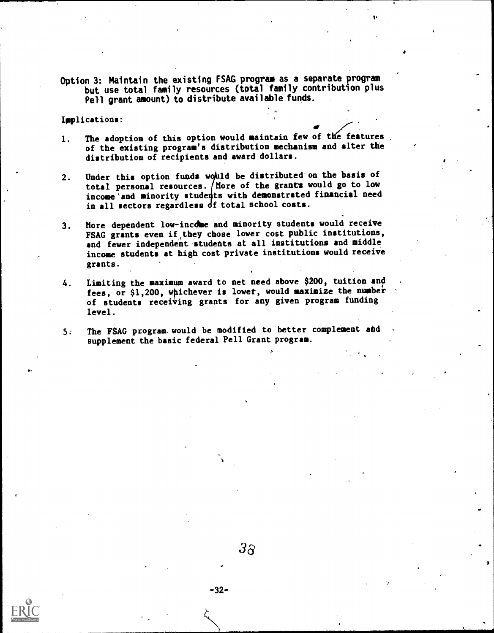Option 3: Maintain the existing FSAG program as a separate program but use total family resources (total family contribution plus Pell grant amount) to distribute available funds.

 $\mathbf{t}^{\mathbf{t}}$ 

Implications:

- 1. The adoption of this option would maintain few of the features. of the existing program's distribution mechanism and alter the distribution of recipients and award dollars.
- 2. Under this option funds would be distributed on the basis of total personal resources. More of the grants would go to low income and minority students with demonstrated financial need in all sectors regardless df total school costs.
- 3. More dependent low-income and minority students would receive FSAG grants even if they chose lower cost public institutions, and fewer independent students at all institutions and middle income students at high cost private institutions would receive grants.
- 4. Limiting the maximum award to net need above \$200, tuition and fees, or \$1,200, whichever is lower, would maximize the number of students receiving grants for any given program funding level.
- 5. The FSAG program would be modified to better complement and supplement the basic federal Pell Grant program.

P<sub>ran</sub>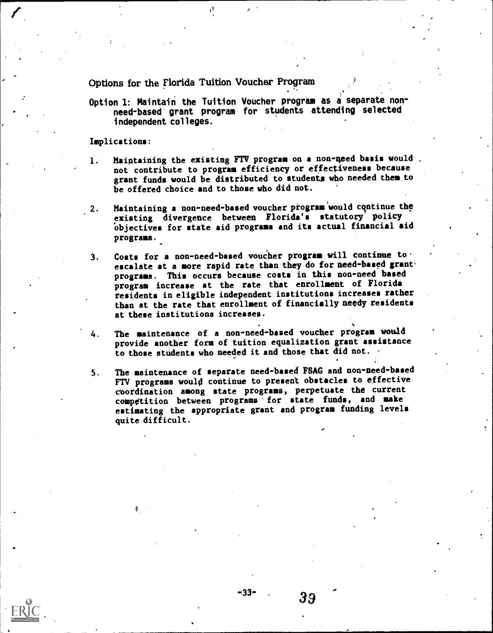Options for the Florida Tuition Voucher Program

Option 1: Maintain the Tuition Voucher program as a separate nonneed-based' grant program for students attending selected independent colleges.

Implications:

- 1. Maintaining the existing FTV program on a non-need basis would, not contribute to program efficiency or effectiveness because grant funds would be distributed to students who needed them to be offered choice and to those who did not.
- 2. Maintaining a non-need-based voucher program would continue the existing divergence between Florida's statutory policy objectives for state aid programs and its actual financial aid programs.
- 3. Costs for a non-need-based voucher program will continue to. escalate at a more rapid rate than they do for need-based grant. programs. This occurs because costs in this non-need based program increase at the rate that enrollment of Florida residents in eligible independent institutions increases rather than at the rate that enrollment of financially needy residents at these institutions increases.
- 4. The maintenance of a non-need-based voucher program would provide another form of tuition equalization grant assistance to those students who needed it and those that did not.
- 5. The maintenance of separate need-based FSAG and non-need-based FTV programs would continue to present obstacles to effective coordination among state programs, perpetuate the current competition between programs 'for state funds, and make estimating the appropriate grant and program funding levels quite difficult.

 $-33-$  39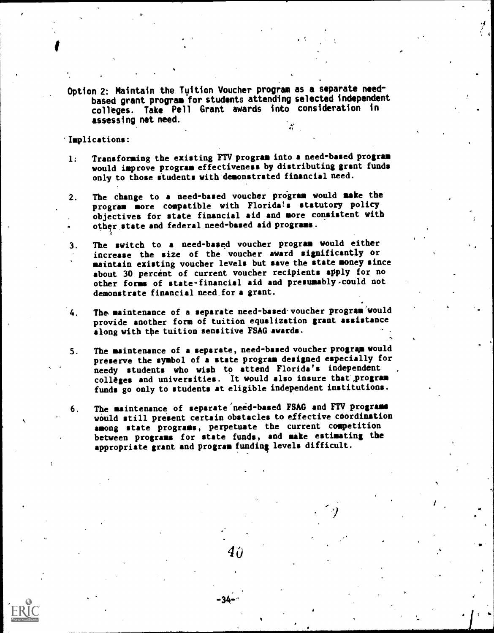Option 2: Maintain the Tuition Voucher program as a separate needbased grant program for students attending selected independent colleges. Take Pell Grant awards into consideration in assessing net need.

#### 'Implications:

- 1: Transforming the existing FTV program into a need-based program would improve program effectiveness by distributing grant funds only to those students with demonstrated financial need.
- 2. The change to a need-based voucher program would make the program more compatible with Florida's statutory policy objectives for state financial aid and more consistent with other state and federal need-based aid programs.
- 3. The switch to <sup>a</sup> need-based voucher program would either increase the size of the voucher award significantly or maintain existing voucher levels but save the state money since about 30 percent of current voucher recipients apply for no other forms of state-financial aid and presumably.could not demonstrate financial need for a grant.
- 4. The maintenance of a separate need-based.voucher program'would provide another form of tuition equalization grant assistance along with the tuition sensitive FSAG awards.
- S. The maintenance of a separate, need-based voucher program would preserve the symbol of a state program designed especially for needy students who wish to attend Florida's independent colleges and universities. It would also insure that program funds go only to students at eligible independent institutions.
- 6. The maintenance of separate'need-based FSAG and FTV programa would still present certain obstacles to effective coordination among state programs, perpetuate the current competition between programs for state funds, and make estimating the appropriate grant and program funding levels difficult.

 ${\bf 40}$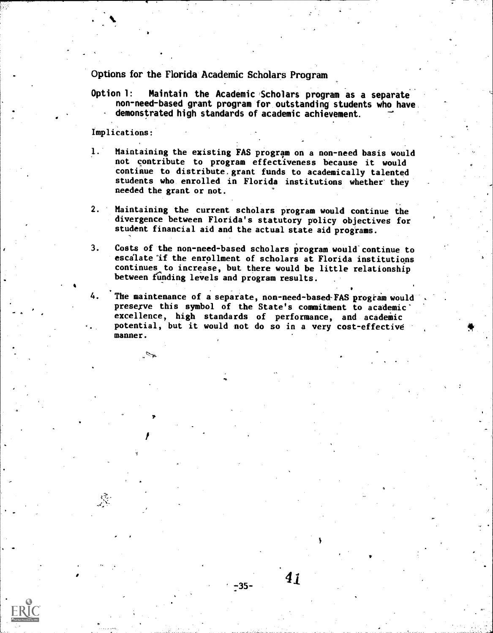Options for the Florida Academic Scholars Program

Option 1: Maintain the Academic Scholars program as a separate non-need-based grant program for outstanding students who have demonstrated high standards of academic achievement.

Implications:

- 1. Maintaining the existing FAS program on a non-need basis would not contribute to program effectiveness because it would continue to distribute.grant funds to academically talented students who enrolled in Florida institutions whether they needed the grant or not.
- 2. Maintaining the current scholars program would continue the divergence between Florida's statutory policy objectives for student financial aid and the actual state aid programs.

3. Costs of the non-need-based scholars program would continue to escalate if the enrollment of scholars at Florida institutions continues to increase, but there would be little relationship between funding levels and program results.

4. The maintenance of a separate, non-need-based FAS program would preserve this symbol of the State's commitment to academic excellence, high standards of performance, and academic potential, but it would not do so in a very cost-effective manner.

 $41$ 

 $-35-$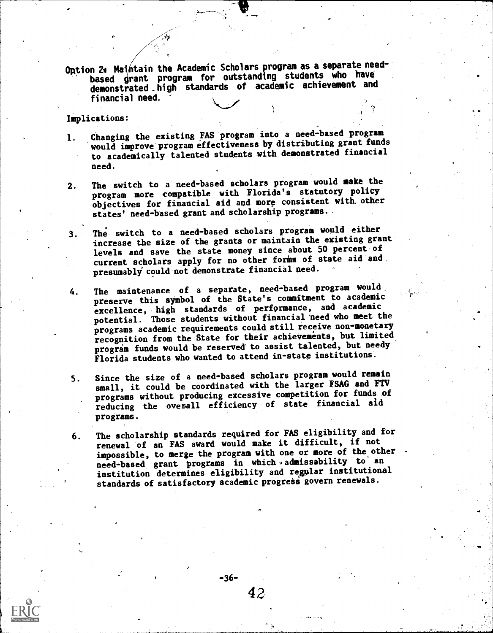Option 2<sup>\*</sup> Maintain the Academic Scholars program as a separate needbased grant program for outstanding students who have demonstrated \_high standards of academic achievement and financial need.

Implications:

- 1. Changing the existing FAS program into a need-based program would improve program effectiveness by distributing grant funds to academically talented students with demonstrated financial need.
- 2. The switch to a need-based scholars program would make the program more compatible with Florida's statutory policy objectives for financial aid and more consistent with other states' need-based grant and scholarship programs.
- 3. The switch to a need-based scholars program would either increase the size of the grants or maintain the existing grant levels and save the state money since about 50 percent of current scholars apply for no other forms of state aid and presumably°could not demonstrate financial need.
- 4. The maintenance of a separate, need-based program would, preserve this symbol of the State's commitment to academic excellence, high standards of performance, and academic potential. Those students without financial'need who meet the programs academic requirements could still receive non-monetary recognition from the State for their achievements, but limited program funds would be reserved to assist talented, but needy Florida students who wanted to attend in-state institutions.
- 5. Since the size of a need-based scholars program would remain small, it could be coordinated with the larger FSAG and FTV programs without producing excessive competition for funds of reducing the overall efficiency of state financial aid programs.
- 6. The scholarship standards required for FAS eligibility and for renewal of an FAS award would make it difficult, if not impossible, to merge the program with one or more of the other need-based grant programs in which admissability to an institution determines eligibility and regular institutional standards of satisfactory academic progress govern renewals.

 $-36-$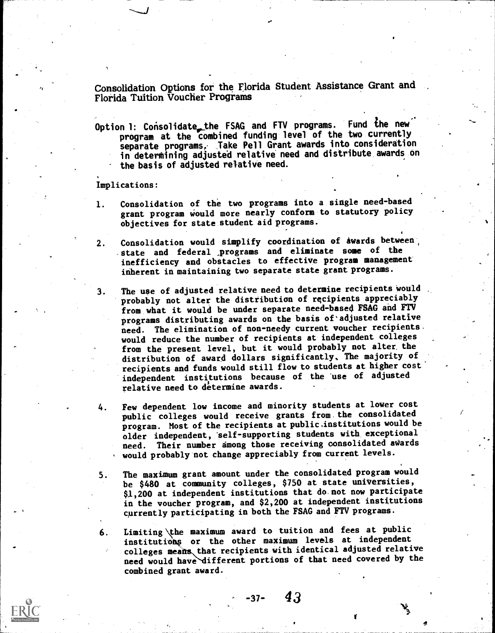Consolidation Options for the Florida Student Assistance Grant and Florida Tuition Voucher Programs

Option 1: Consolidate the FSAG and FTV programs. Fund the new program at the combined funding level of the two currently separate programs, Take Pell Grant awards into consideration in determining adjusted relative need and distribute awards on the basis of adjusted relative need.

#### Implications:

- 1. Consolidation of the two programs into a single need-based grant program Would more nearly conform to statutory policy objectives for state student aid programs.
- 2. Consolidation would simplify coordination of awards between, state and federal programs and eliminate some of the inefficiency and obstacles to effective program management inherent in maintaining two separate state grant programs.
- 3. The use of adjusted relative need to determine recipients would probably not alter the distribution of recipients appreciably from what it would be under separate need-based FSAG and FTV programs distributing awards on the basis of'adjusted relative need. The elimination of non-needy current voucher recipients. would reduce the number of recipients at independent colleges from the present level, but it would probably not alter the distribution of award dollars significantly, The majority of recipients and funds would still flow to students at higher cost independent institutions because of the 'use of adjusted relative need to determine awards.
- 4. Few dependent low income and minority students at lower cost public colleges would receive grants from. the consolidated program. Most of the recipients at public.institutions would be older independent, self-supporting students with exceptional need. Their number among those receiving oonsolidated awards , would probably not change appreciably from current levels.
- 5. The maximum grant amount under the consolidated program would be \$480 at community colleges, \$750 at state universities, \$1,200 at independent institutions that do not now participate in the voucher program, and \$2,200 at independent institutions currently participating in both the FSAG and FTV programs.
- 6. Limiting the maximum award to tuition and fees at public institutions or the other maximum levels at independent colleges means that recipients with identical adjusted relative need would have different portions of that need covered by the combined grant award.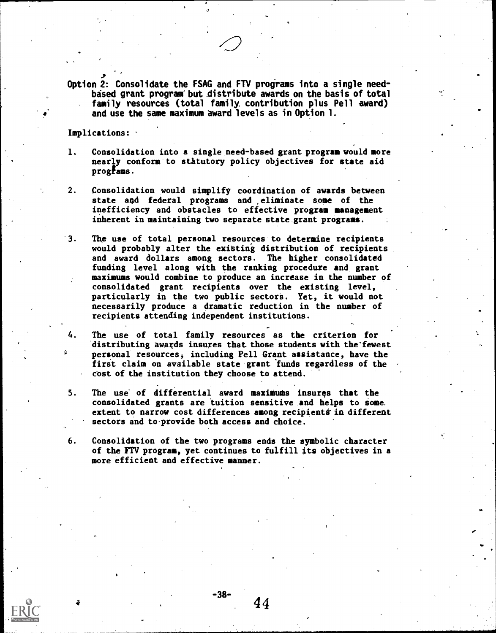Option 2: Consolidate the FSAG and FTV programs into a single needbised grant program"but distribute awards on the basis of total family resources (total family. contribution plus Pell award) and use the same maximum award levels as in Option 1.

Implications:  $\cdot$ 

- 1. Consolidation into a single need-based grant program would more nearly conform to statutory policy objectives for state aid progfams.
- 2. Consolidation would simplify coordination of awards between state and federal programs and eliminate some of the inefficiency and obstacles to effective program management inherent in maintaining two separate state grant programs.
- 3. The use of total personal resources to determine recipients would probably alter the existing distribution of recipients and award dollars among sectors. The higher consolidated funding level along with the ranking procedure and grant maximums would combine to produce an increase in the number of consolidated grant recipients over the existing level, particularly in the two public sectors. Yet, it would not necessarily produce a dramatic reduction in the number of recipients attending independent institutions.
- 4. The use of total family resources as the criterion for distributing awards insures that those students with the fewest personal resources, including Pell Grant assistance, have the first claim on available state grant 'funds regardless of the cost of the institution they choose to attend.
- 5. The use of differential award maximums insures that the consolidated grants are tuition sensitive and helps to some. extent to narrow cost differences among recipients in different sectors and to-provide both access and choice.
- 6. Consolidation of the two programs ends the symbolic character of the FTV program, yet continues to fulfill its objectives in a more efficient and effective manner.



44

-38-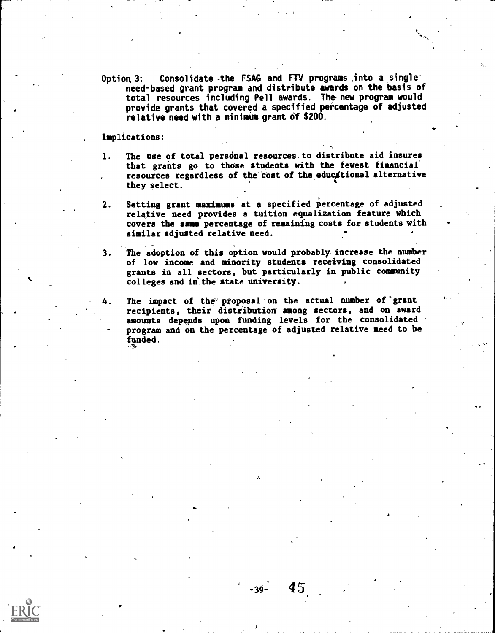Option 3: Consolidate the FSAG and FTV programs ,into a single need-based grant program and distribute awards on the basis of total resources including Pell awards. The.new program would provide grants that covered a specified percentage of adjusted relative need with a minimum grant of \$200.

Implications:

- 1. The use of total personal resources, to distribute aid insures that grants go to those students with the fewest financial' resources regardless of the cost of the educational alternative they select.
- 2. Setting grant maximums at a specified percentage of adjusted relative need provides a tuition equalization feature which covers the same percentage of remaining costs for students with similar adjusted relative need.
- 3. The adoption of this option would probably increase the number of low income and minority students receiving consolidated grants in all sectors, but particularly in public community colleges and in the state university.
- The impact of the proposal on the actual number of grant recipients, their distribution among sectors, and on award amounts depends upon funding levels for the consolidated program and on the percentage of adjusted relative need to be funded.

45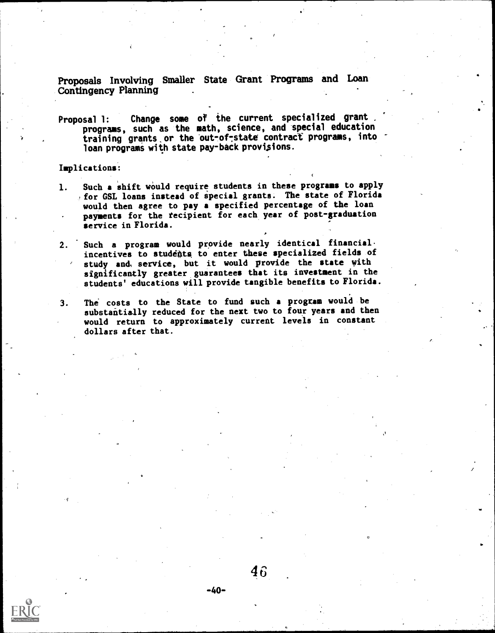Proposals Involving Smaller State Grant Programs and Loan Contingency Planning

Proposal 1: Change some of the current specialized grant programs, such as the math, science, and special education training grants or the out-of-state contract programs, into loan programs with state pay-back provisions.

Implications:

- 1. Such a shift would require students in these programs to apply for GSL loans instead of special grants. The state of Florida would then agree to pay a specified percentage of the loan payments for the recipient for each year of post-graduation service in Florida.
- 2. Such a program would provide nearly identical financial. incentives to students to enter these specialized fields of study and, service, but it would provide the state with significantly greater guarantees that its investment in the students' educations will provide tangible benefits to Florida.
- 3. The costs to the State to fund such a program would be substantially reduced for the next two to four years and then would return to approximately current levels in constant dollars after that.



-40-